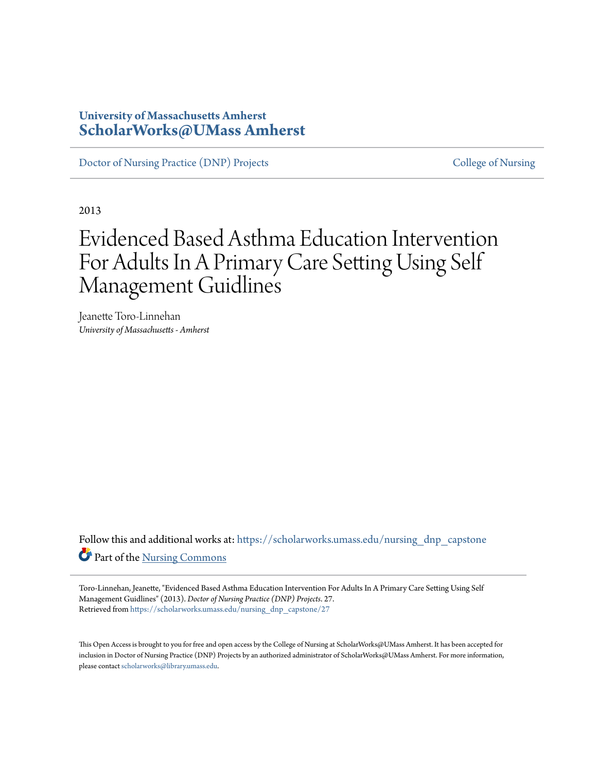### **University of Massachusetts Amherst [ScholarWorks@UMass Amherst](https://scholarworks.umass.edu?utm_source=scholarworks.umass.edu%2Fnursing_dnp_capstone%2F27&utm_medium=PDF&utm_campaign=PDFCoverPages)**

[Doctor of Nursing Practice \(DNP\) Projects](https://scholarworks.umass.edu/nursing_dnp_capstone?utm_source=scholarworks.umass.edu%2Fnursing_dnp_capstone%2F27&utm_medium=PDF&utm_campaign=PDFCoverPages) [College of Nursing](https://scholarworks.umass.edu/nursing?utm_source=scholarworks.umass.edu%2Fnursing_dnp_capstone%2F27&utm_medium=PDF&utm_campaign=PDFCoverPages)

2013

# Evidenced Based Asthma Education Intervention For Adults In A Primary Care Setting Using Self Management Guidlines

Jeanette Toro-Linnehan *University of Massachusetts - Amherst*

Follow this and additional works at: [https://scholarworks.umass.edu/nursing\\_dnp\\_capstone](https://scholarworks.umass.edu/nursing_dnp_capstone?utm_source=scholarworks.umass.edu%2Fnursing_dnp_capstone%2F27&utm_medium=PDF&utm_campaign=PDFCoverPages) Part of the [Nursing Commons](http://network.bepress.com/hgg/discipline/718?utm_source=scholarworks.umass.edu%2Fnursing_dnp_capstone%2F27&utm_medium=PDF&utm_campaign=PDFCoverPages)

Toro-Linnehan, Jeanette, "Evidenced Based Asthma Education Intervention For Adults In A Primary Care Setting Using Self Management Guidlines" (2013). *Doctor of Nursing Practice (DNP) Projects*. 27. Retrieved from [https://scholarworks.umass.edu/nursing\\_dnp\\_capstone/27](https://scholarworks.umass.edu/nursing_dnp_capstone/27?utm_source=scholarworks.umass.edu%2Fnursing_dnp_capstone%2F27&utm_medium=PDF&utm_campaign=PDFCoverPages)

This Open Access is brought to you for free and open access by the College of Nursing at ScholarWorks@UMass Amherst. It has been accepted for inclusion in Doctor of Nursing Practice (DNP) Projects by an authorized administrator of ScholarWorks@UMass Amherst. For more information, please contact [scholarworks@library.umass.edu.](mailto:scholarworks@library.umass.edu)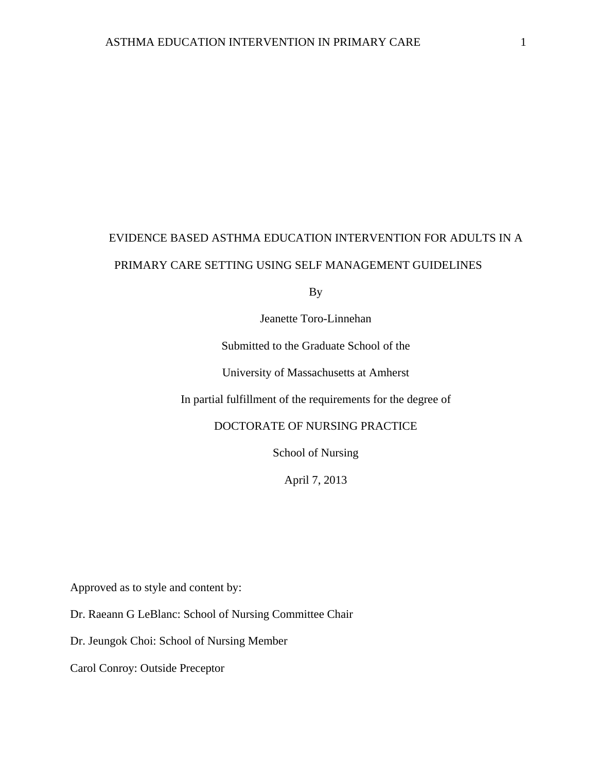## EVIDENCE BASED ASTHMA EDUCATION INTERVENTION FOR ADULTS IN A PRIMARY CARE SETTING USING SELF MANAGEMENT GUIDELINES

By

Jeanette Toro-Linnehan

Submitted to the Graduate School of the

University of Massachusetts at Amherst

In partial fulfillment of the requirements for the degree of

DOCTORATE OF NURSING PRACTICE

School of Nursing

April 7, 2013

Approved as to style and content by:

Dr. Raeann G LeBlanc: School of Nursing Committee Chair

Dr. Jeungok Choi: School of Nursing Member

Carol Conroy: Outside Preceptor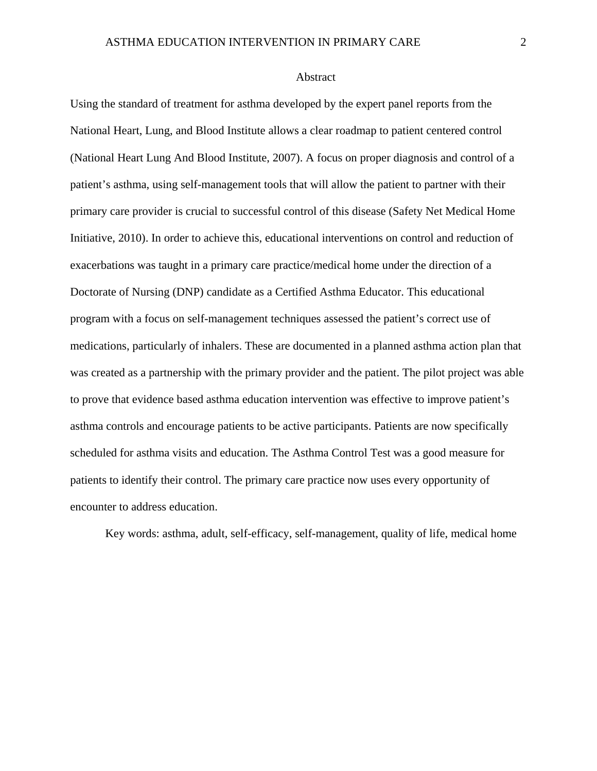#### Abstract

Using the standard of treatment for asthma developed by the expert panel reports from the National Heart, Lung, and Blood Institute allows a clear roadmap to patient centered control (National Heart Lung And Blood Institute, 2007). A focus on proper diagnosis and control of a patient's asthma, using self-management tools that will allow the patient to partner with their primary care provider is crucial to successful control of this disease (Safety Net Medical Home Initiative, 2010). In order to achieve this, educational interventions on control and reduction of exacerbations was taught in a primary care practice/medical home under the direction of a Doctorate of Nursing (DNP) candidate as a Certified Asthma Educator. This educational program with a focus on self-management techniques assessed the patient's correct use of medications, particularly of inhalers. These are documented in a planned asthma action plan that was created as a partnership with the primary provider and the patient. The pilot project was able to prove that evidence based asthma education intervention was effective to improve patient's asthma controls and encourage patients to be active participants. Patients are now specifically scheduled for asthma visits and education. The Asthma Control Test was a good measure for patients to identify their control. The primary care practice now uses every opportunity of encounter to address education.

Key words: asthma, adult, self-efficacy, self-management, quality of life, medical home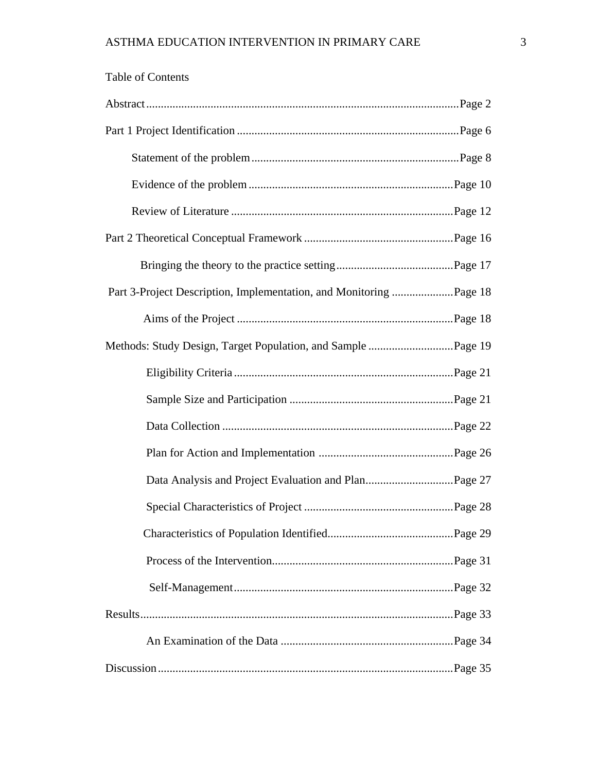| <b>Table of Contents</b> |  |
|--------------------------|--|
|                          |  |
|                          |  |
|                          |  |
|                          |  |
|                          |  |
|                          |  |
|                          |  |
|                          |  |
|                          |  |
|                          |  |
|                          |  |
|                          |  |
|                          |  |
|                          |  |
|                          |  |
|                          |  |
|                          |  |
|                          |  |
|                          |  |
|                          |  |
|                          |  |
|                          |  |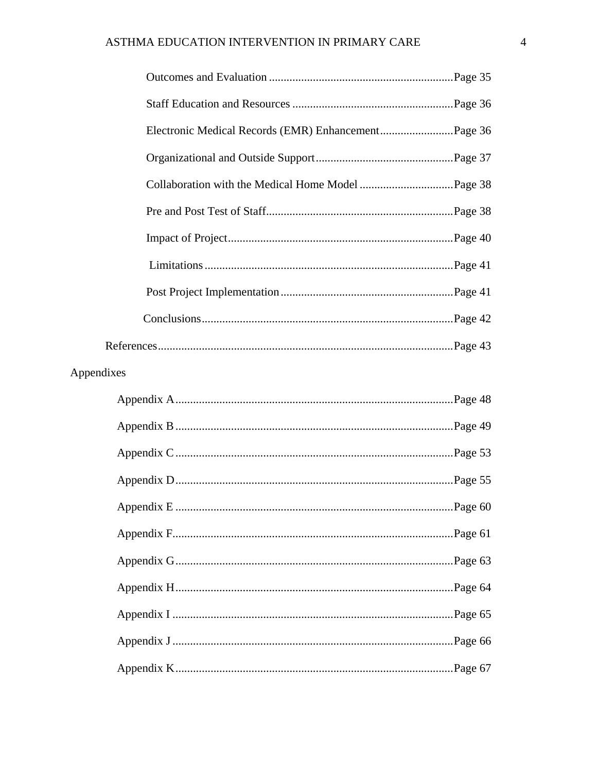| Appendixes |  |
|------------|--|
|            |  |
|            |  |
|            |  |
|            |  |
|            |  |
|            |  |
|            |  |
|            |  |
|            |  |
|            |  |
|            |  |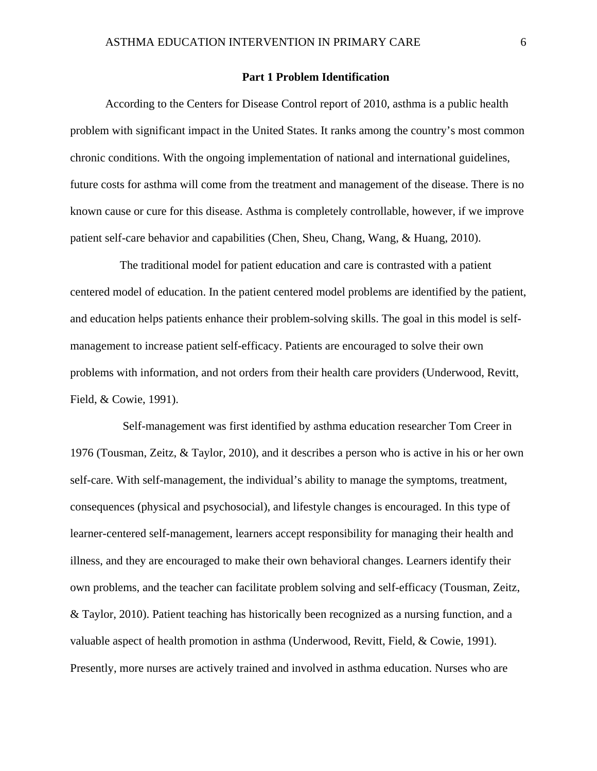#### **Part 1 Problem Identification**

According to the Centers for Disease Control report of 2010, asthma is a public health problem with significant impact in the United States. It ranks among the country's most common chronic conditions. With the ongoing implementation of national and international guidelines, future costs for asthma will come from the treatment and management of the disease. There is no known cause or cure for this disease. Asthma is completely controllable, however, if we improve patient self-care behavior and capabilities (Chen, Sheu, Chang, Wang, & Huang, 2010).

 The traditional model for patient education and care is contrasted with a patient centered model of education. In the patient centered model problems are identified by the patient, and education helps patients enhance their problem-solving skills. The goal in this model is selfmanagement to increase patient self-efficacy. Patients are encouraged to solve their own problems with information, and not orders from their health care providers (Underwood, Revitt, Field, & Cowie, 1991).

 Self-management was first identified by asthma education researcher Tom Creer in 1976 (Tousman, Zeitz, & Taylor, 2010), and it describes a person who is active in his or her own self-care. With self-management, the individual's ability to manage the symptoms, treatment, consequences (physical and psychosocial), and lifestyle changes is encouraged. In this type of learner-centered self-management, learners accept responsibility for managing their health and illness, and they are encouraged to make their own behavioral changes. Learners identify their own problems, and the teacher can facilitate problem solving and self-efficacy (Tousman, Zeitz, & Taylor, 2010). Patient teaching has historically been recognized as a nursing function, and a valuable aspect of health promotion in asthma (Underwood, Revitt, Field, & Cowie, 1991). Presently, more nurses are actively trained and involved in asthma education. Nurses who are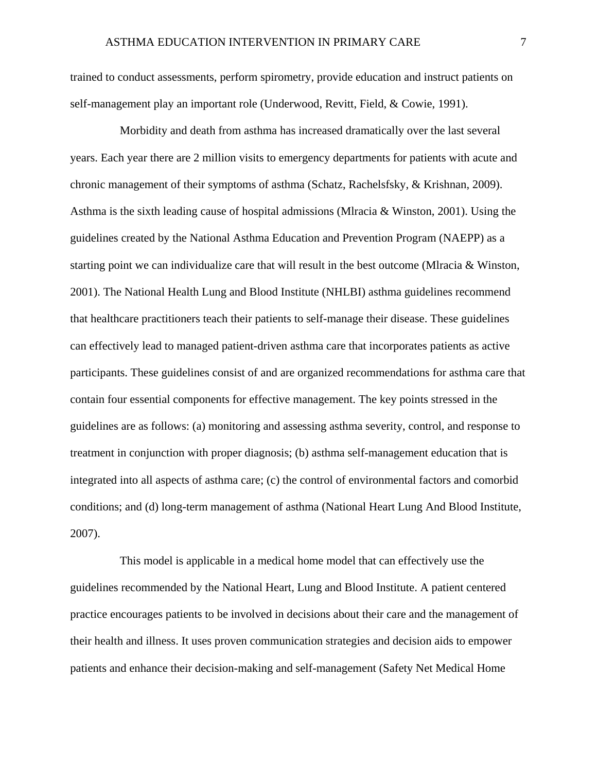trained to conduct assessments, perform spirometry, provide education and instruct patients on self-management play an important role (Underwood, Revitt, Field, & Cowie, 1991).

 Morbidity and death from asthma has increased dramatically over the last several years. Each year there are 2 million visits to emergency departments for patients with acute and chronic management of their symptoms of asthma (Schatz, Rachelsfsky, & Krishnan, 2009). Asthma is the sixth leading cause of hospital admissions (Mlracia & Winston, 2001). Using the guidelines created by the National Asthma Education and Prevention Program (NAEPP) as a starting point we can individualize care that will result in the best outcome (Mlracia & Winston, 2001). The National Health Lung and Blood Institute (NHLBI) asthma guidelines recommend that healthcare practitioners teach their patients to self-manage their disease. These guidelines can effectively lead to managed patient-driven asthma care that incorporates patients as active participants. These guidelines consist of and are organized recommendations for asthma care that contain four essential components for effective management. The key points stressed in the guidelines are as follows: (a) monitoring and assessing asthma severity, control, and response to treatment in conjunction with proper diagnosis; (b) asthma self-management education that is integrated into all aspects of asthma care; (c) the control of environmental factors and comorbid conditions; and (d) long-term management of asthma (National Heart Lung And Blood Institute, 2007).

 This model is applicable in a medical home model that can effectively use the guidelines recommended by the National Heart, Lung and Blood Institute. A patient centered practice encourages patients to be involved in decisions about their care and the management of their health and illness. It uses proven communication strategies and decision aids to empower patients and enhance their decision-making and self-management (Safety Net Medical Home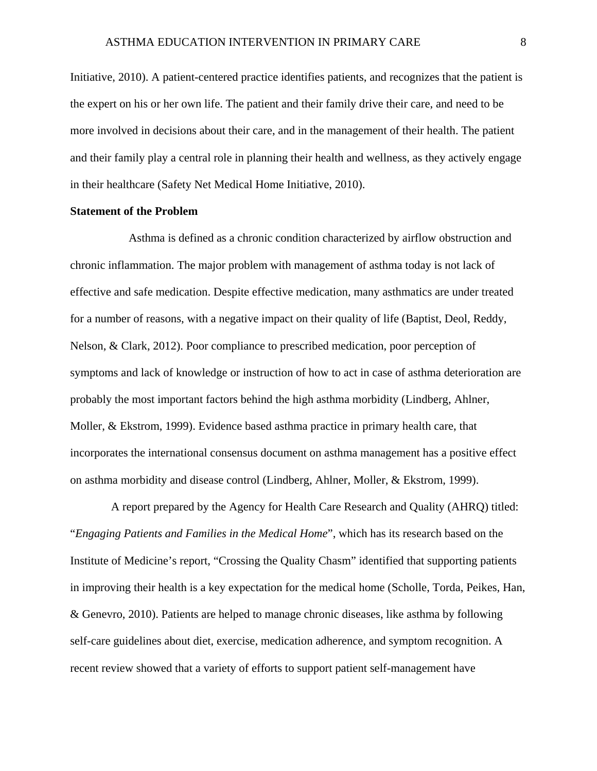Initiative, 2010). A patient-centered practice identifies patients, and recognizes that the patient is the expert on his or her own life. The patient and their family drive their care, and need to be more involved in decisions about their care, and in the management of their health. The patient and their family play a central role in planning their health and wellness, as they actively engage in their healthcare (Safety Net Medical Home Initiative, 2010).

#### **Statement of the Problem**

 Asthma is defined as a chronic condition characterized by airflow obstruction and chronic inflammation. The major problem with management of asthma today is not lack of effective and safe medication. Despite effective medication, many asthmatics are under treated for a number of reasons, with a negative impact on their quality of life (Baptist, Deol, Reddy, Nelson, & Clark, 2012). Poor compliance to prescribed medication, poor perception of symptoms and lack of knowledge or instruction of how to act in case of asthma deterioration are probably the most important factors behind the high asthma morbidity (Lindberg, Ahlner, Moller, & Ekstrom, 1999). Evidence based asthma practice in primary health care, that incorporates the international consensus document on asthma management has a positive effect on asthma morbidity and disease control (Lindberg, Ahlner, Moller, & Ekstrom, 1999).

 A report prepared by the Agency for Health Care Research and Quality (AHRQ) titled: "*Engaging Patients and Families in the Medical Home*", which has its research based on the Institute of Medicine's report, "Crossing the Quality Chasm" identified that supporting patients in improving their health is a key expectation for the medical home (Scholle, Torda, Peikes, Han, & Genevro, 2010). Patients are helped to manage chronic diseases, like asthma by following self-care guidelines about diet, exercise, medication adherence, and symptom recognition. A recent review showed that a variety of efforts to support patient self-management have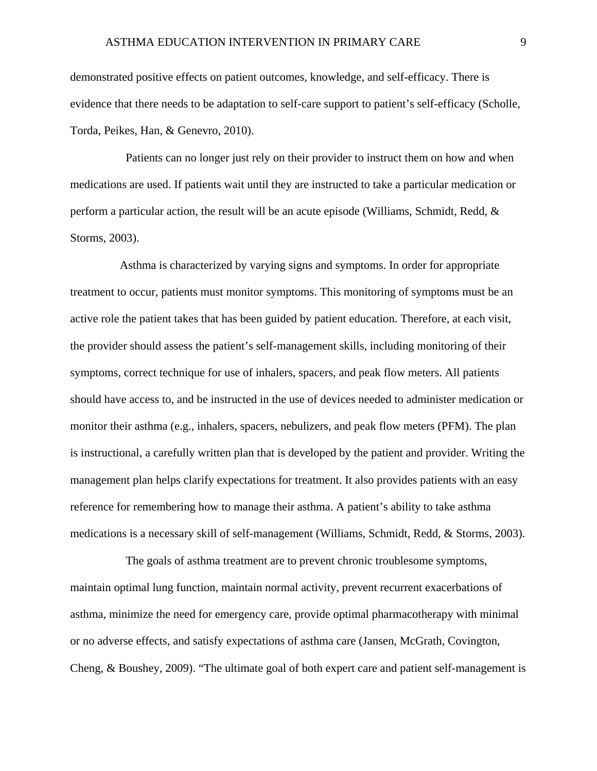demonstrated positive effects on patient outcomes, knowledge, and self-efficacy. There is evidence that there needs to be adaptation to self-care support to patient's self-efficacy (Scholle, Torda, Peikes, Han, & Genevro, 2010).

 Patients can no longer just rely on their provider to instruct them on how and when medications are used. If patients wait until they are instructed to take a particular medication or perform a particular action, the result will be an acute episode (Williams, Schmidt, Redd, & Storms, 2003).

 Asthma is characterized by varying signs and symptoms. In order for appropriate treatment to occur, patients must monitor symptoms. This monitoring of symptoms must be an active role the patient takes that has been guided by patient education. Therefore, at each visit, the provider should assess the patient's self-management skills, including monitoring of their symptoms, correct technique for use of inhalers, spacers, and peak flow meters. All patients should have access to, and be instructed in the use of devices needed to administer medication or monitor their asthma (e.g., inhalers, spacers, nebulizers, and peak flow meters (PFM). The plan is instructional, a carefully written plan that is developed by the patient and provider. Writing the management plan helps clarify expectations for treatment. It also provides patients with an easy reference for remembering how to manage their asthma. A patient's ability to take asthma medications is a necessary skill of self-management (Williams, Schmidt, Redd, & Storms, 2003).

 The goals of asthma treatment are to prevent chronic troublesome symptoms, maintain optimal lung function, maintain normal activity, prevent recurrent exacerbations of asthma, minimize the need for emergency care, provide optimal pharmacotherapy with minimal or no adverse effects, and satisfy expectations of asthma care (Jansen, McGrath, Covington, Cheng, & Boushey, 2009). "The ultimate goal of both expert care and patient self-management is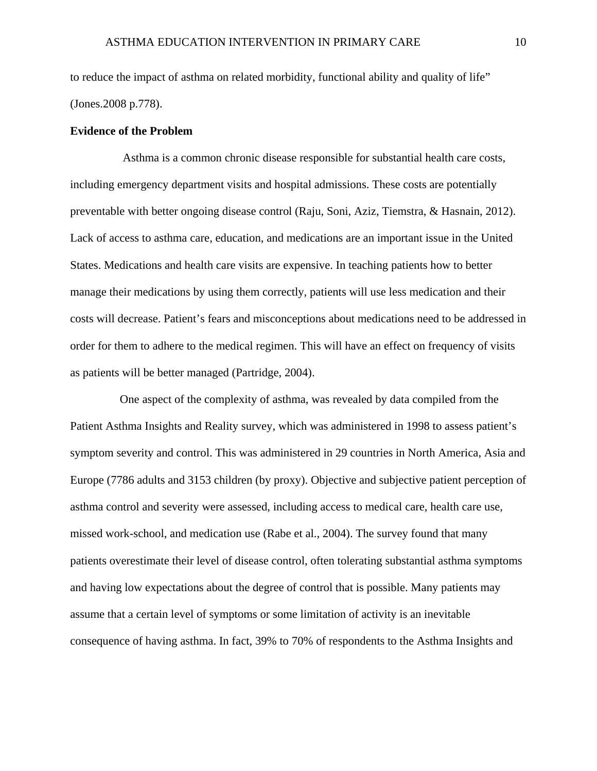to reduce the impact of asthma on related morbidity, functional ability and quality of life" (Jones.2008 p.778).

#### **Evidence of the Problem**

 Asthma is a common chronic disease responsible for substantial health care costs, including emergency department visits and hospital admissions. These costs are potentially preventable with better ongoing disease control (Raju, Soni, Aziz, Tiemstra, & Hasnain, 2012). Lack of access to asthma care, education, and medications are an important issue in the United States. Medications and health care visits are expensive. In teaching patients how to better manage their medications by using them correctly, patients will use less medication and their costs will decrease. Patient's fears and misconceptions about medications need to be addressed in order for them to adhere to the medical regimen. This will have an effect on frequency of visits as patients will be better managed (Partridge, 2004).

 One aspect of the complexity of asthma, was revealed by data compiled from the Patient Asthma Insights and Reality survey, which was administered in 1998 to assess patient's symptom severity and control. This was administered in 29 countries in North America, Asia and Europe (7786 adults and 3153 children (by proxy). Objective and subjective patient perception of asthma control and severity were assessed, including access to medical care, health care use, missed work-school, and medication use (Rabe et al., 2004). The survey found that many patients overestimate their level of disease control, often tolerating substantial asthma symptoms and having low expectations about the degree of control that is possible. Many patients may assume that a certain level of symptoms or some limitation of activity is an inevitable consequence of having asthma. In fact, 39% to 70% of respondents to the Asthma Insights and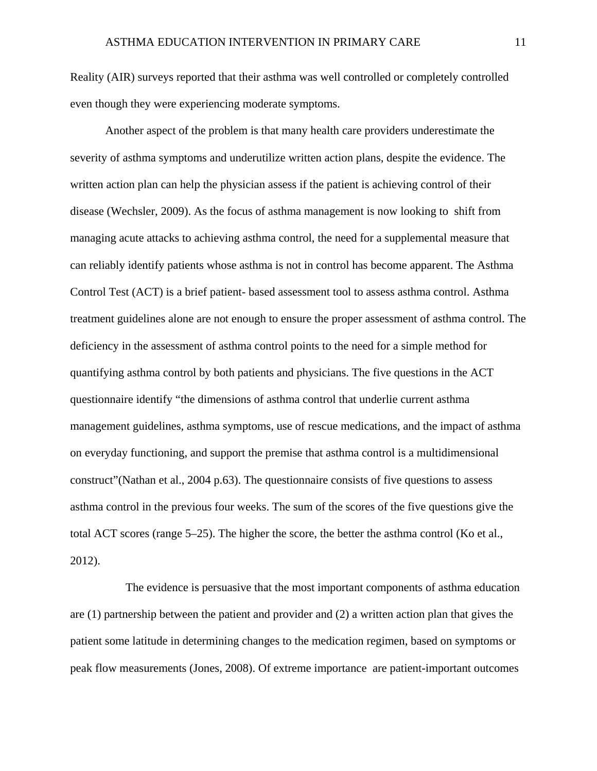Reality (AIR) surveys reported that their asthma was well controlled or completely controlled even though they were experiencing moderate symptoms.

Another aspect of the problem is that many health care providers underestimate the severity of asthma symptoms and underutilize written action plans, despite the evidence. The written action plan can help the physician assess if the patient is achieving control of their disease (Wechsler, 2009). As the focus of asthma management is now looking to shift from managing acute attacks to achieving asthma control, the need for a supplemental measure that can reliably identify patients whose asthma is not in control has become apparent. The Asthma Control Test (ACT) is a brief patient- based assessment tool to assess asthma control. Asthma treatment guidelines alone are not enough to ensure the proper assessment of asthma control. The deficiency in the assessment of asthma control points to the need for a simple method for quantifying asthma control by both patients and physicians. The five questions in the ACT questionnaire identify "the dimensions of asthma control that underlie current asthma management guidelines, asthma symptoms, use of rescue medications, and the impact of asthma on everyday functioning, and support the premise that asthma control is a multidimensional construct"(Nathan et al., 2004 p.63). The questionnaire consists of five questions to assess asthma control in the previous four weeks. The sum of the scores of the five questions give the total ACT scores (range 5–25). The higher the score, the better the asthma control (Ko et al., 2012).

 The evidence is persuasive that the most important components of asthma education are (1) partnership between the patient and provider and (2) a written action plan that gives the patient some latitude in determining changes to the medication regimen, based on symptoms or peak flow measurements (Jones, 2008). Of extreme importance are patient-important outcomes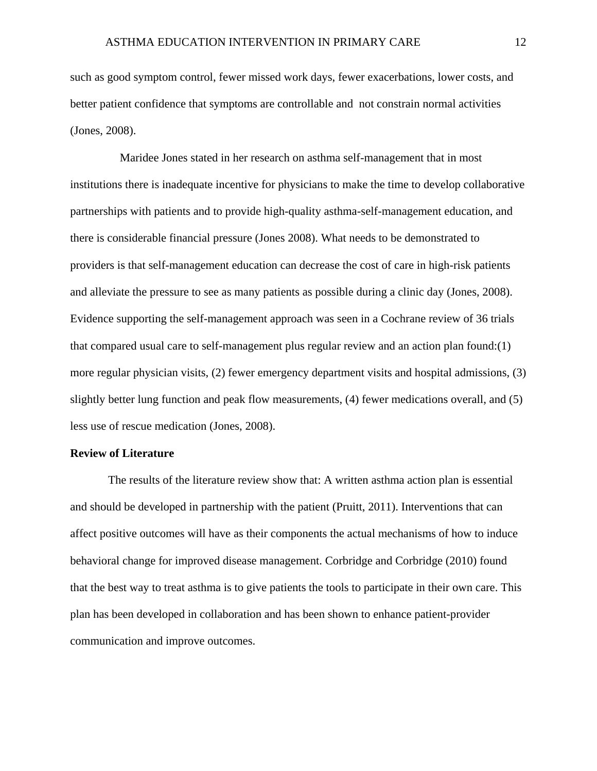such as good symptom control, fewer missed work days, fewer exacerbations, lower costs, and better patient confidence that symptoms are controllable and not constrain normal activities (Jones, 2008).

 Maridee Jones stated in her research on asthma self-management that in most institutions there is inadequate incentive for physicians to make the time to develop collaborative partnerships with patients and to provide high-quality asthma-self-management education, and there is considerable financial pressure (Jones 2008). What needs to be demonstrated to providers is that self-management education can decrease the cost of care in high-risk patients and alleviate the pressure to see as many patients as possible during a clinic day (Jones, 2008). Evidence supporting the self-management approach was seen in a Cochrane review of 36 trials that compared usual care to self-management plus regular review and an action plan found:(1) more regular physician visits, (2) fewer emergency department visits and hospital admissions, (3) slightly better lung function and peak flow measurements, (4) fewer medications overall, and (5) less use of rescue medication (Jones, 2008).

#### **Review of Literature**

 The results of the literature review show that: A written asthma action plan is essential and should be developed in partnership with the patient (Pruitt, 2011). Interventions that can affect positive outcomes will have as their components the actual mechanisms of how to induce behavioral change for improved disease management. Corbridge and Corbridge (2010) found that the best way to treat asthma is to give patients the tools to participate in their own care. This plan has been developed in collaboration and has been shown to enhance patient-provider communication and improve outcomes.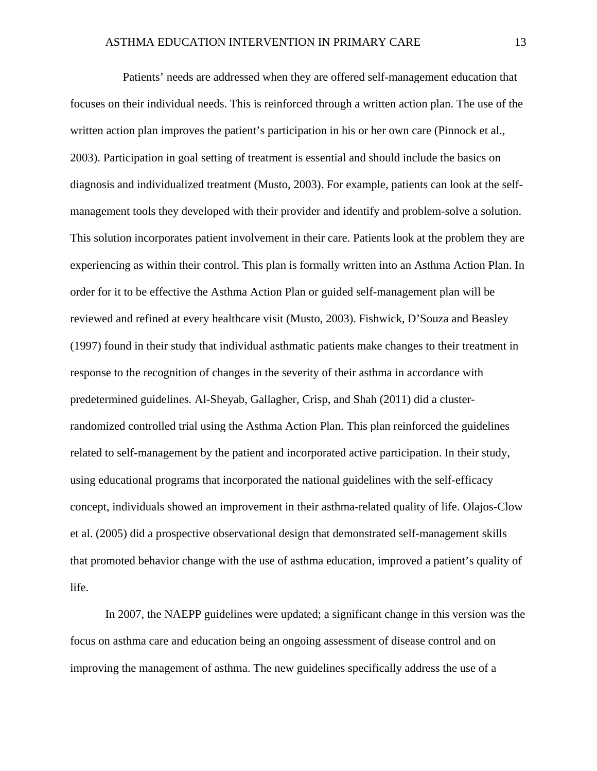Patients' needs are addressed when they are offered self-management education that focuses on their individual needs. This is reinforced through a written action plan. The use of the written action plan improves the patient's participation in his or her own care (Pinnock et al., 2003). Participation in goal setting of treatment is essential and should include the basics on diagnosis and individualized treatment (Musto, 2003). For example, patients can look at the selfmanagement tools they developed with their provider and identify and problem-solve a solution. This solution incorporates patient involvement in their care. Patients look at the problem they are experiencing as within their control. This plan is formally written into an Asthma Action Plan. In order for it to be effective the Asthma Action Plan or guided self-management plan will be reviewed and refined at every healthcare visit (Musto, 2003). Fishwick, D'Souza and Beasley (1997) found in their study that individual asthmatic patients make changes to their treatment in response to the recognition of changes in the severity of their asthma in accordance with predetermined guidelines. Al-Sheyab, Gallagher, Crisp, and Shah (2011) did a clusterrandomized controlled trial using the Asthma Action Plan. This plan reinforced the guidelines related to self-management by the patient and incorporated active participation. In their study, using educational programs that incorporated the national guidelines with the self-efficacy concept, individuals showed an improvement in their asthma-related quality of life. Olajos-Clow et al. (2005) did a prospective observational design that demonstrated self-management skills that promoted behavior change with the use of asthma education, improved a patient's quality of life.

In 2007, the NAEPP guidelines were updated; a significant change in this version was the focus on asthma care and education being an ongoing assessment of disease control and on improving the management of asthma. The new guidelines specifically address the use of a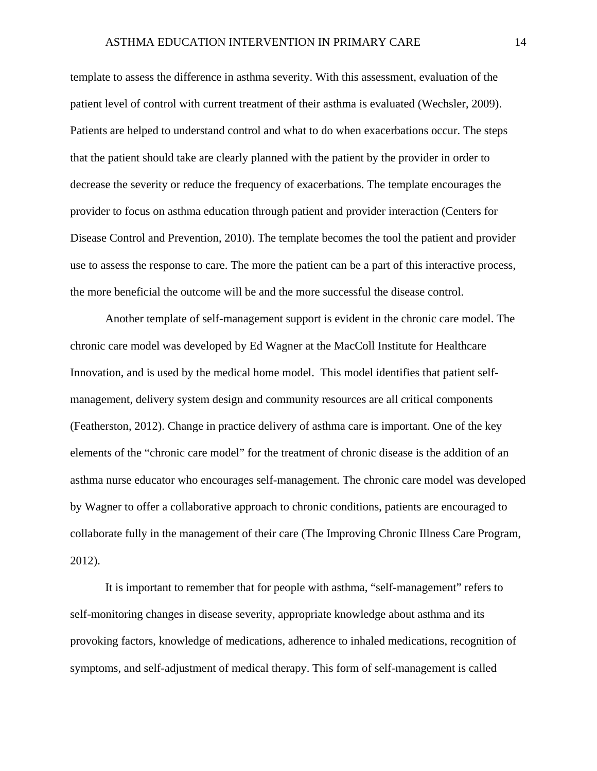template to assess the difference in asthma severity. With this assessment, evaluation of the patient level of control with current treatment of their asthma is evaluated (Wechsler, 2009). Patients are helped to understand control and what to do when exacerbations occur. The steps that the patient should take are clearly planned with the patient by the provider in order to decrease the severity or reduce the frequency of exacerbations. The template encourages the provider to focus on asthma education through patient and provider interaction (Centers for Disease Control and Prevention, 2010). The template becomes the tool the patient and provider use to assess the response to care. The more the patient can be a part of this interactive process, the more beneficial the outcome will be and the more successful the disease control.

Another template of self-management support is evident in the chronic care model. The chronic care model was developed by Ed Wagner at the MacColl Institute for Healthcare Innovation, and is used by the medical home model. This model identifies that patient selfmanagement, delivery system design and community resources are all critical components (Featherston, 2012). Change in practice delivery of asthma care is important. One of the key elements of the "chronic care model" for the treatment of chronic disease is the addition of an asthma nurse educator who encourages self-management. The chronic care model was developed by Wagner to offer a collaborative approach to chronic conditions, patients are encouraged to collaborate fully in the management of their care (The Improving Chronic Illness Care Program, 2012).

It is important to remember that for people with asthma, "self-management" refers to self-monitoring changes in disease severity, appropriate knowledge about asthma and its provoking factors, knowledge of medications, adherence to inhaled medications, recognition of symptoms, and self-adjustment of medical therapy. This form of self-management is called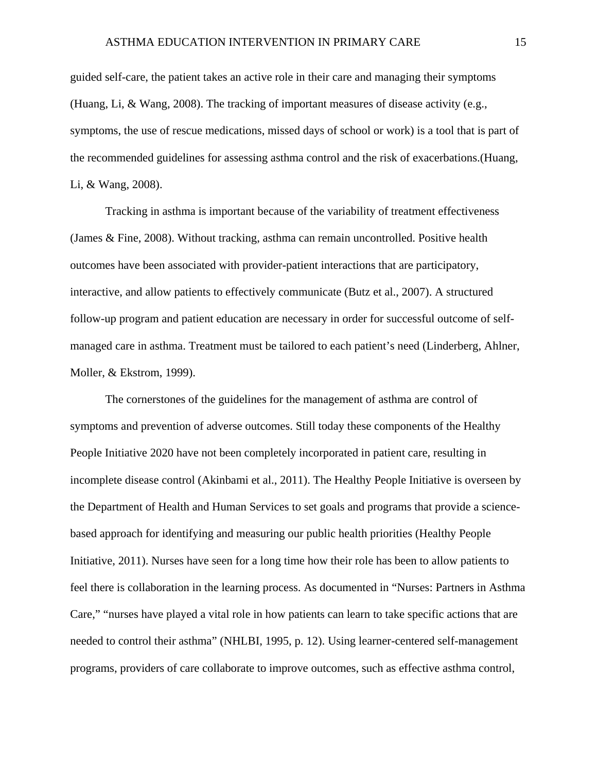guided self-care, the patient takes an active role in their care and managing their symptoms (Huang, Li, & Wang, 2008). The tracking of important measures of disease activity (e.g., symptoms, the use of rescue medications, missed days of school or work) is a tool that is part of the recommended guidelines for assessing asthma control and the risk of exacerbations.(Huang, Li, & Wang, 2008).

Tracking in asthma is important because of the variability of treatment effectiveness (James & Fine, 2008). Without tracking, asthma can remain uncontrolled. Positive health outcomes have been associated with provider-patient interactions that are participatory, interactive, and allow patients to effectively communicate (Butz et al., 2007). A structured follow-up program and patient education are necessary in order for successful outcome of selfmanaged care in asthma. Treatment must be tailored to each patient's need (Linderberg, Ahlner, Moller, & Ekstrom, 1999).

The cornerstones of the guidelines for the management of asthma are control of symptoms and prevention of adverse outcomes. Still today these components of the Healthy People Initiative 2020 have not been completely incorporated in patient care, resulting in incomplete disease control (Akinbami et al., 2011). The Healthy People Initiative is overseen by the Department of Health and Human Services to set goals and programs that provide a sciencebased approach for identifying and measuring our public health priorities (Healthy People Initiative, 2011). Nurses have seen for a long time how their role has been to allow patients to feel there is collaboration in the learning process. As documented in "Nurses: Partners in Asthma Care," "nurses have played a vital role in how patients can learn to take specific actions that are needed to control their asthma" (NHLBI, 1995, p. 12). Using learner-centered self-management programs, providers of care collaborate to improve outcomes, such as effective asthma control,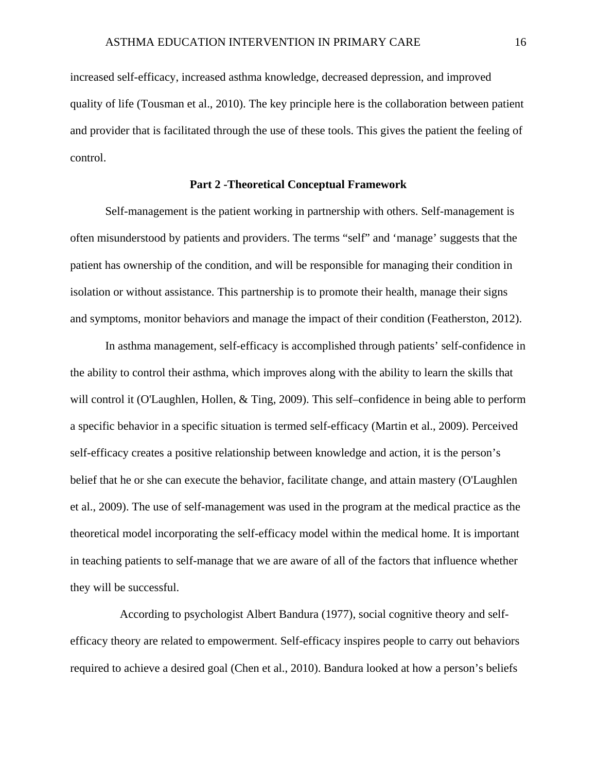increased self-efficacy, increased asthma knowledge, decreased depression, and improved quality of life (Tousman et al., 2010). The key principle here is the collaboration between patient and provider that is facilitated through the use of these tools. This gives the patient the feeling of control.

#### **Part 2 -Theoretical Conceptual Framework**

Self-management is the patient working in partnership with others. Self-management is often misunderstood by patients and providers. The terms "self" and 'manage' suggests that the patient has ownership of the condition, and will be responsible for managing their condition in isolation or without assistance. This partnership is to promote their health, manage their signs and symptoms, monitor behaviors and manage the impact of their condition (Featherston, 2012).

In asthma management, self-efficacy is accomplished through patients' self-confidence in the ability to control their asthma, which improves along with the ability to learn the skills that will control it (O'Laughlen, Hollen,  $&$  Ting, 2009). This self-confidence in being able to perform a specific behavior in a specific situation is termed self-efficacy (Martin et al., 2009). Perceived self-efficacy creates a positive relationship between knowledge and action, it is the person's belief that he or she can execute the behavior, facilitate change, and attain mastery (O'Laughlen et al., 2009). The use of self-management was used in the program at the medical practice as the theoretical model incorporating the self-efficacy model within the medical home. It is important in teaching patients to self-manage that we are aware of all of the factors that influence whether they will be successful.

 According to psychologist Albert Bandura (1977), social cognitive theory and selfefficacy theory are related to empowerment. Self-efficacy inspires people to carry out behaviors required to achieve a desired goal (Chen et al., 2010). Bandura looked at how a person's beliefs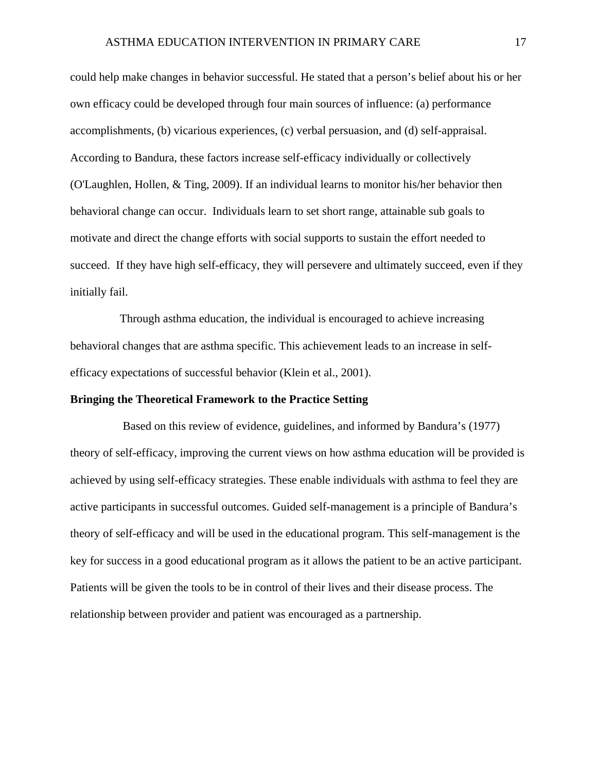could help make changes in behavior successful. He stated that a person's belief about his or her own efficacy could be developed through four main sources of influence: (a) performance accomplishments, (b) vicarious experiences, (c) verbal persuasion, and (d) self-appraisal. According to Bandura, these factors increase self-efficacy individually or collectively (O'Laughlen, Hollen, & Ting, 2009). If an individual learns to monitor his/her behavior then behavioral change can occur. Individuals learn to set short range, attainable sub goals to motivate and direct the change efforts with social supports to sustain the effort needed to succeed. If they have high self-efficacy, they will persevere and ultimately succeed, even if they initially fail.

 Through asthma education, the individual is encouraged to achieve increasing behavioral changes that are asthma specific. This achievement leads to an increase in selfefficacy expectations of successful behavior (Klein et al., 2001).

#### **Bringing the Theoretical Framework to the Practice Setting**

 Based on this review of evidence, guidelines, and informed by Bandura's (1977) theory of self-efficacy, improving the current views on how asthma education will be provided is achieved by using self-efficacy strategies. These enable individuals with asthma to feel they are active participants in successful outcomes. Guided self-management is a principle of Bandura's theory of self-efficacy and will be used in the educational program. This self-management is the key for success in a good educational program as it allows the patient to be an active participant. Patients will be given the tools to be in control of their lives and their disease process. The relationship between provider and patient was encouraged as a partnership.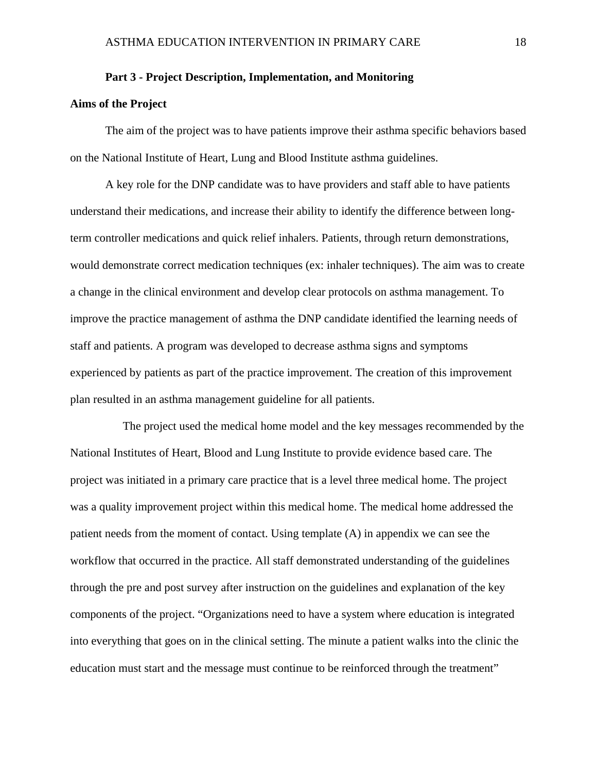#### **Part 3 - Project Description, Implementation, and Monitoring**

#### **Aims of the Project**

The aim of the project was to have patients improve their asthma specific behaviors based on the National Institute of Heart, Lung and Blood Institute asthma guidelines.

A key role for the DNP candidate was to have providers and staff able to have patients understand their medications, and increase their ability to identify the difference between longterm controller medications and quick relief inhalers. Patients, through return demonstrations, would demonstrate correct medication techniques (ex: inhaler techniques). The aim was to create a change in the clinical environment and develop clear protocols on asthma management. To improve the practice management of asthma the DNP candidate identified the learning needs of staff and patients. A program was developed to decrease asthma signs and symptoms experienced by patients as part of the practice improvement. The creation of this improvement plan resulted in an asthma management guideline for all patients.

 The project used the medical home model and the key messages recommended by the National Institutes of Heart, Blood and Lung Institute to provide evidence based care. The project was initiated in a primary care practice that is a level three medical home. The project was a quality improvement project within this medical home. The medical home addressed the patient needs from the moment of contact. Using template (A) in appendix we can see the workflow that occurred in the practice. All staff demonstrated understanding of the guidelines through the pre and post survey after instruction on the guidelines and explanation of the key components of the project. "Organizations need to have a system where education is integrated into everything that goes on in the clinical setting. The minute a patient walks into the clinic the education must start and the message must continue to be reinforced through the treatment"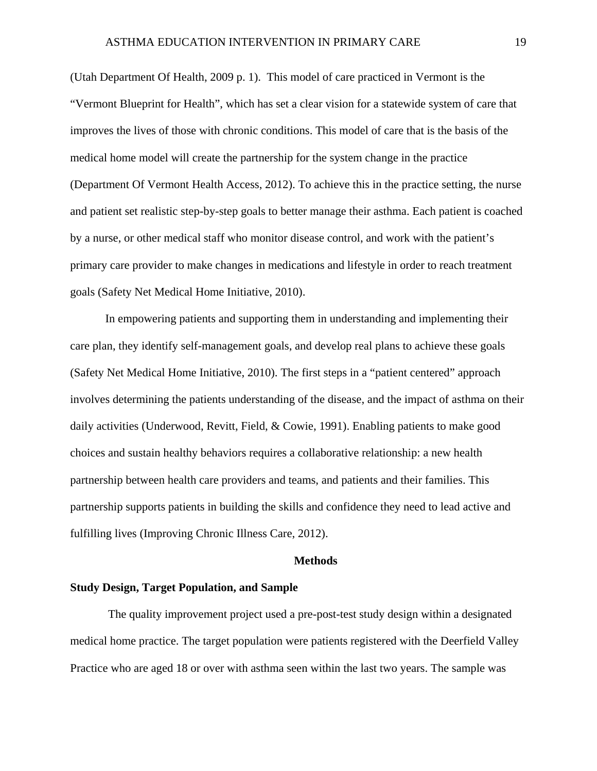(Utah Department Of Health, 2009 p. 1). This model of care practiced in Vermont is the "Vermont Blueprint for Health", which has set a clear vision for a statewide system of care that improves the lives of those with chronic conditions. This model of care that is the basis of the medical home model will create the partnership for the system change in the practice (Department Of Vermont Health Access, 2012). To achieve this in the practice setting, the nurse and patient set realistic step-by-step goals to better manage their asthma. Each patient is coached by a nurse, or other medical staff who monitor disease control, and work with the patient's primary care provider to make changes in medications and lifestyle in order to reach treatment goals (Safety Net Medical Home Initiative, 2010).

In empowering patients and supporting them in understanding and implementing their care plan, they identify self-management goals, and develop real plans to achieve these goals (Safety Net Medical Home Initiative, 2010). The first steps in a "patient centered" approach involves determining the patients understanding of the disease, and the impact of asthma on their daily activities (Underwood, Revitt, Field, & Cowie, 1991). Enabling patients to make good choices and sustain healthy behaviors requires a collaborative relationship: a new health partnership between health care providers and teams, and patients and their families. This partnership supports patients in building the skills and confidence they need to lead active and fulfilling lives (Improving Chronic Illness Care, 2012).

#### **Methods**

#### **Study Design, Target Population, and Sample**

 The quality improvement project used a pre-post-test study design within a designated medical home practice. The target population were patients registered with the Deerfield Valley Practice who are aged 18 or over with asthma seen within the last two years. The sample was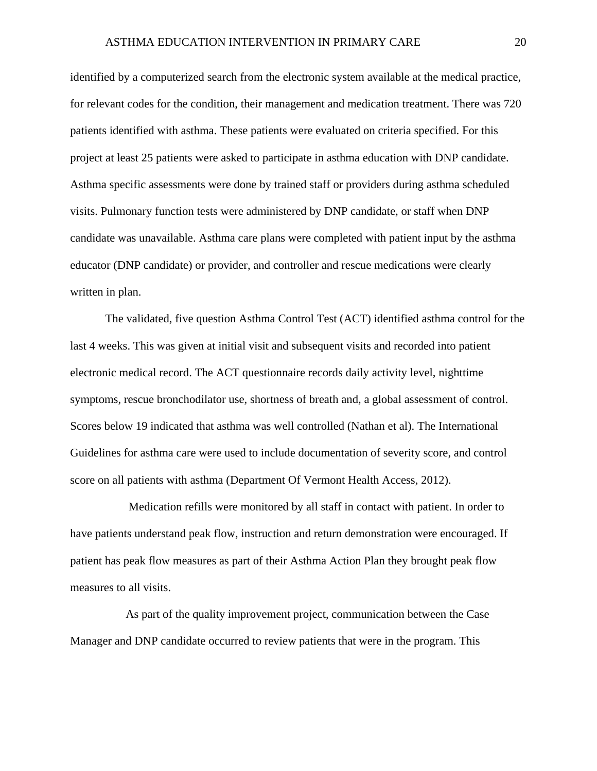identified by a computerized search from the electronic system available at the medical practice, for relevant codes for the condition, their management and medication treatment. There was 720 patients identified with asthma. These patients were evaluated on criteria specified. For this project at least 25 patients were asked to participate in asthma education with DNP candidate. Asthma specific assessments were done by trained staff or providers during asthma scheduled visits. Pulmonary function tests were administered by DNP candidate, or staff when DNP candidate was unavailable. Asthma care plans were completed with patient input by the asthma educator (DNP candidate) or provider, and controller and rescue medications were clearly written in plan.

The validated, five question Asthma Control Test (ACT) identified asthma control for the last 4 weeks. This was given at initial visit and subsequent visits and recorded into patient electronic medical record. The ACT questionnaire records daily activity level, nighttime symptoms, rescue bronchodilator use, shortness of breath and, a global assessment of control. Scores below 19 indicated that asthma was well controlled (Nathan et al). The International Guidelines for asthma care were used to include documentation of severity score, and control score on all patients with asthma (Department Of Vermont Health Access, 2012).

 Medication refills were monitored by all staff in contact with patient. In order to have patients understand peak flow, instruction and return demonstration were encouraged. If patient has peak flow measures as part of their Asthma Action Plan they brought peak flow measures to all visits.

 As part of the quality improvement project, communication between the Case Manager and DNP candidate occurred to review patients that were in the program. This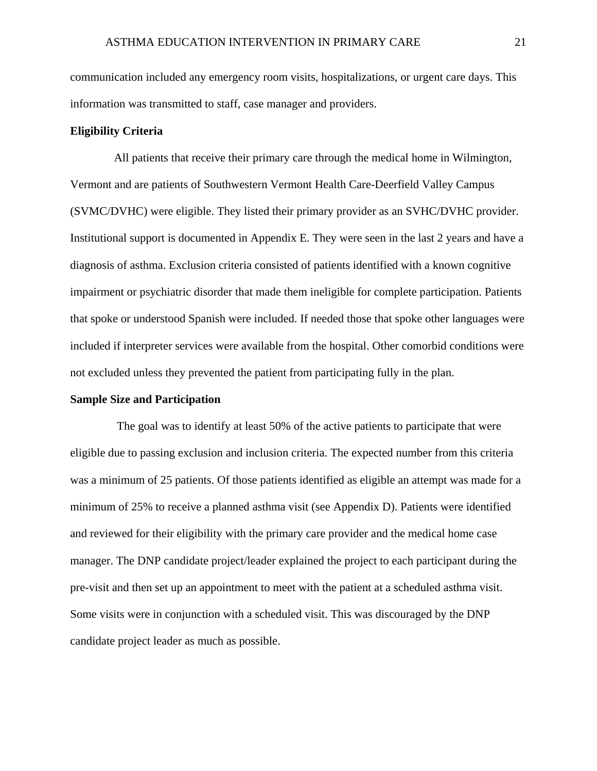communication included any emergency room visits, hospitalizations, or urgent care days. This information was transmitted to staff, case manager and providers.

#### **Eligibility Criteria**

 All patients that receive their primary care through the medical home in Wilmington, Vermont and are patients of Southwestern Vermont Health Care-Deerfield Valley Campus (SVMC/DVHC) were eligible. They listed their primary provider as an SVHC/DVHC provider. Institutional support is documented in Appendix E. They were seen in the last 2 years and have a diagnosis of asthma. Exclusion criteria consisted of patients identified with a known cognitive impairment or psychiatric disorder that made them ineligible for complete participation. Patients that spoke or understood Spanish were included. If needed those that spoke other languages were included if interpreter services were available from the hospital. Other comorbid conditions were not excluded unless they prevented the patient from participating fully in the plan.

#### **Sample Size and Participation**

 The goal was to identify at least 50% of the active patients to participate that were eligible due to passing exclusion and inclusion criteria. The expected number from this criteria was a minimum of 25 patients. Of those patients identified as eligible an attempt was made for a minimum of 25% to receive a planned asthma visit (see Appendix D). Patients were identified and reviewed for their eligibility with the primary care provider and the medical home case manager. The DNP candidate project/leader explained the project to each participant during the pre-visit and then set up an appointment to meet with the patient at a scheduled asthma visit. Some visits were in conjunction with a scheduled visit. This was discouraged by the DNP candidate project leader as much as possible.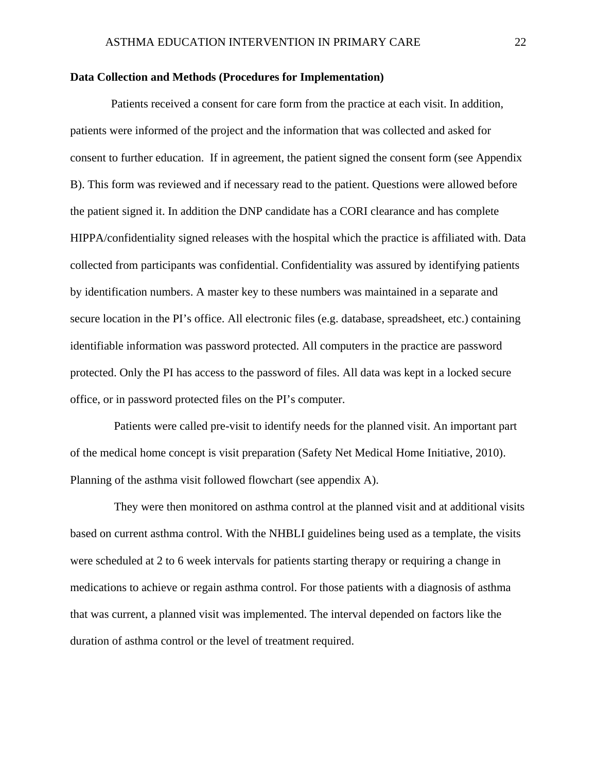#### **Data Collection and Methods (Procedures for Implementation)**

 Patients received a consent for care form from the practice at each visit. In addition, patients were informed of the project and the information that was collected and asked for consent to further education. If in agreement, the patient signed the consent form (see Appendix B). This form was reviewed and if necessary read to the patient. Questions were allowed before the patient signed it. In addition the DNP candidate has a CORI clearance and has complete HIPPA/confidentiality signed releases with the hospital which the practice is affiliated with. Data collected from participants was confidential. Confidentiality was assured by identifying patients by identification numbers. A master key to these numbers was maintained in a separate and secure location in the PI's office. All electronic files (e.g. database, spreadsheet, etc.) containing identifiable information was password protected. All computers in the practice are password protected. Only the PI has access to the password of files. All data was kept in a locked secure office, or in password protected files on the PI's computer.

 Patients were called pre-visit to identify needs for the planned visit. An important part of the medical home concept is visit preparation (Safety Net Medical Home Initiative, 2010). Planning of the asthma visit followed flowchart (see appendix A).

 They were then monitored on asthma control at the planned visit and at additional visits based on current asthma control. With the NHBLI guidelines being used as a template, the visits were scheduled at 2 to 6 week intervals for patients starting therapy or requiring a change in medications to achieve or regain asthma control. For those patients with a diagnosis of asthma that was current, a planned visit was implemented. The interval depended on factors like the duration of asthma control or the level of treatment required.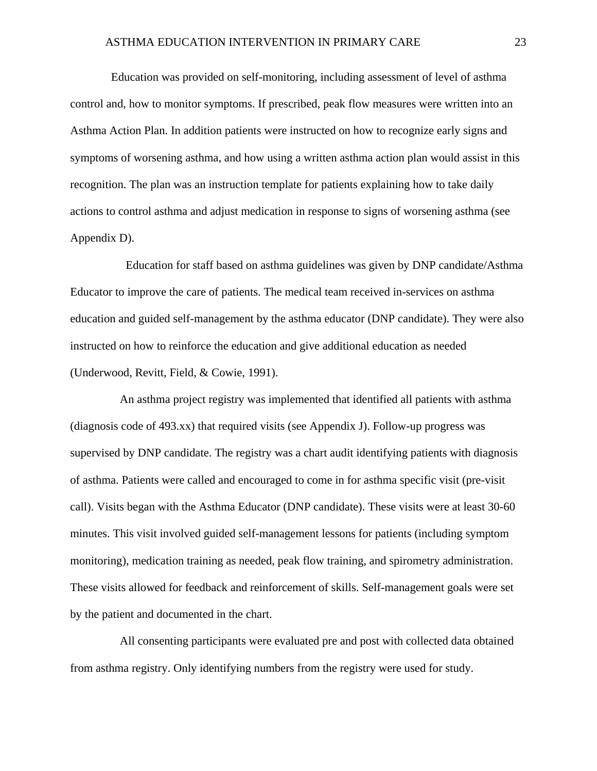Education was provided on self-monitoring, including assessment of level of asthma control and, how to monitor symptoms. If prescribed, peak flow measures were written into an Asthma Action Plan. In addition patients were instructed on how to recognize early signs and symptoms of worsening asthma, and how using a written asthma action plan would assist in this recognition. The plan was an instruction template for patients explaining how to take daily actions to control asthma and adjust medication in response to signs of worsening asthma (see Appendix D).

 Education for staff based on asthma guidelines was given by DNP candidate/Asthma Educator to improve the care of patients. The medical team received in-services on asthma education and guided self-management by the asthma educator (DNP candidate). They were also instructed on how to reinforce the education and give additional education as needed (Underwood, Revitt, Field, & Cowie, 1991).

 An asthma project registry was implemented that identified all patients with asthma (diagnosis code of 493.xx) that required visits (see Appendix J). Follow-up progress was supervised by DNP candidate. The registry was a chart audit identifying patients with diagnosis of asthma. Patients were called and encouraged to come in for asthma specific visit (pre-visit call). Visits began with the Asthma Educator (DNP candidate). These visits were at least 30-60 minutes. This visit involved guided self-management lessons for patients (including symptom monitoring), medication training as needed, peak flow training, and spirometry administration. These visits allowed for feedback and reinforcement of skills. Self-management goals were set by the patient and documented in the chart.

 All consenting participants were evaluated pre and post with collected data obtained from asthma registry. Only identifying numbers from the registry were used for study.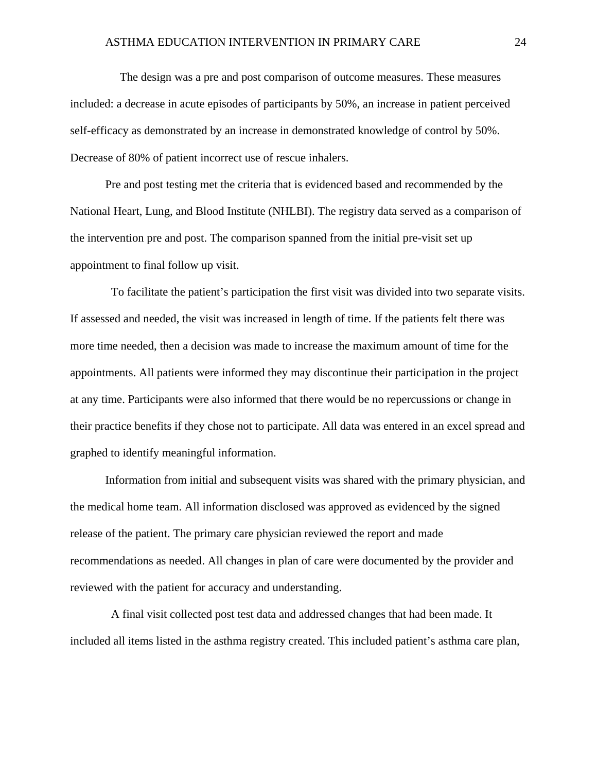The design was a pre and post comparison of outcome measures. These measures included: a decrease in acute episodes of participants by 50%, an increase in patient perceived self-efficacy as demonstrated by an increase in demonstrated knowledge of control by 50%. Decrease of 80% of patient incorrect use of rescue inhalers.

Pre and post testing met the criteria that is evidenced based and recommended by the National Heart, Lung, and Blood Institute (NHLBI). The registry data served as a comparison of the intervention pre and post. The comparison spanned from the initial pre-visit set up appointment to final follow up visit.

 To facilitate the patient's participation the first visit was divided into two separate visits. If assessed and needed, the visit was increased in length of time. If the patients felt there was more time needed, then a decision was made to increase the maximum amount of time for the appointments. All patients were informed they may discontinue their participation in the project at any time. Participants were also informed that there would be no repercussions or change in their practice benefits if they chose not to participate. All data was entered in an excel spread and graphed to identify meaningful information.

Information from initial and subsequent visits was shared with the primary physician, and the medical home team. All information disclosed was approved as evidenced by the signed release of the patient. The primary care physician reviewed the report and made recommendations as needed. All changes in plan of care were documented by the provider and reviewed with the patient for accuracy and understanding.

 A final visit collected post test data and addressed changes that had been made. It included all items listed in the asthma registry created. This included patient's asthma care plan,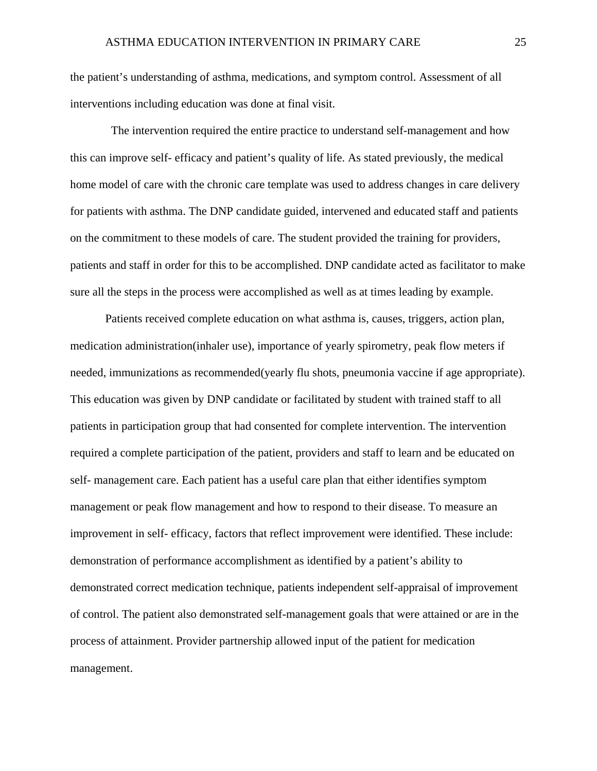the patient's understanding of asthma, medications, and symptom control. Assessment of all interventions including education was done at final visit.

 The intervention required the entire practice to understand self-management and how this can improve self- efficacy and patient's quality of life. As stated previously, the medical home model of care with the chronic care template was used to address changes in care delivery for patients with asthma. The DNP candidate guided, intervened and educated staff and patients on the commitment to these models of care. The student provided the training for providers, patients and staff in order for this to be accomplished. DNP candidate acted as facilitator to make sure all the steps in the process were accomplished as well as at times leading by example.

Patients received complete education on what asthma is, causes, triggers, action plan, medication administration(inhaler use), importance of yearly spirometry, peak flow meters if needed, immunizations as recommended(yearly flu shots, pneumonia vaccine if age appropriate). This education was given by DNP candidate or facilitated by student with trained staff to all patients in participation group that had consented for complete intervention. The intervention required a complete participation of the patient, providers and staff to learn and be educated on self- management care. Each patient has a useful care plan that either identifies symptom management or peak flow management and how to respond to their disease. To measure an improvement in self- efficacy, factors that reflect improvement were identified. These include: demonstration of performance accomplishment as identified by a patient's ability to demonstrated correct medication technique, patients independent self-appraisal of improvement of control. The patient also demonstrated self-management goals that were attained or are in the process of attainment. Provider partnership allowed input of the patient for medication management.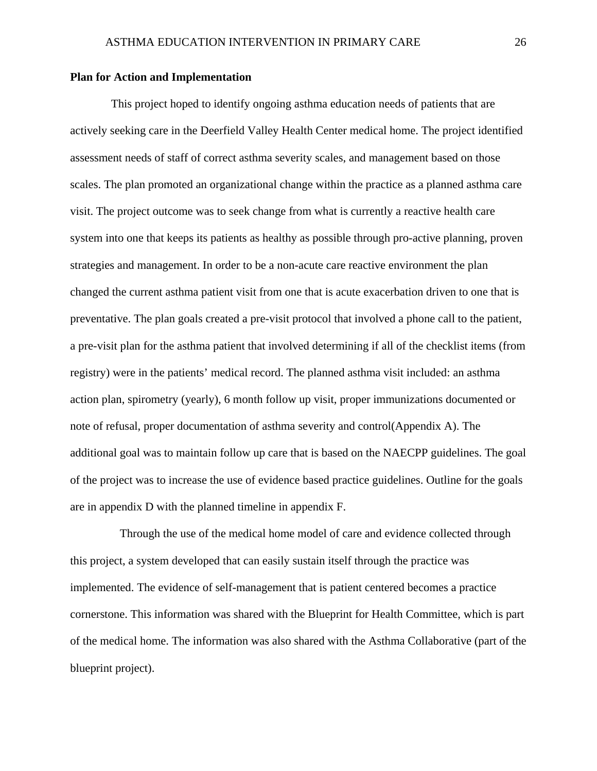#### **Plan for Action and Implementation**

 This project hoped to identify ongoing asthma education needs of patients that are actively seeking care in the Deerfield Valley Health Center medical home. The project identified assessment needs of staff of correct asthma severity scales, and management based on those scales. The plan promoted an organizational change within the practice as a planned asthma care visit. The project outcome was to seek change from what is currently a reactive health care system into one that keeps its patients as healthy as possible through pro-active planning, proven strategies and management. In order to be a non-acute care reactive environment the plan changed the current asthma patient visit from one that is acute exacerbation driven to one that is preventative. The plan goals created a pre-visit protocol that involved a phone call to the patient, a pre-visit plan for the asthma patient that involved determining if all of the checklist items (from registry) were in the patients' medical record. The planned asthma visit included: an asthma action plan, spirometry (yearly), 6 month follow up visit, proper immunizations documented or note of refusal, proper documentation of asthma severity and control(Appendix A). The additional goal was to maintain follow up care that is based on the NAECPP guidelines. The goal of the project was to increase the use of evidence based practice guidelines. Outline for the goals are in appendix D with the planned timeline in appendix F.

 Through the use of the medical home model of care and evidence collected through this project, a system developed that can easily sustain itself through the practice was implemented. The evidence of self-management that is patient centered becomes a practice cornerstone. This information was shared with the Blueprint for Health Committee, which is part of the medical home. The information was also shared with the Asthma Collaborative (part of the blueprint project).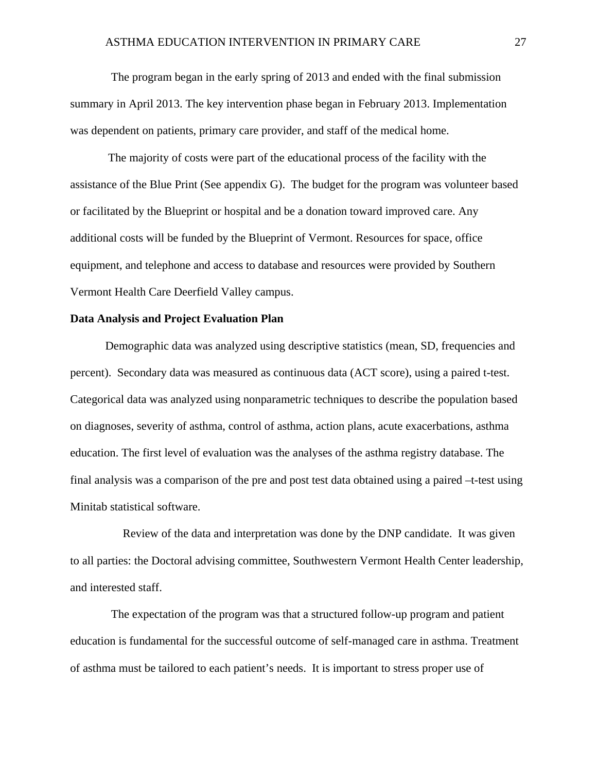The program began in the early spring of 2013 and ended with the final submission summary in April 2013. The key intervention phase began in February 2013. Implementation was dependent on patients, primary care provider, and staff of the medical home.

 The majority of costs were part of the educational process of the facility with the assistance of the Blue Print (See appendix G). The budget for the program was volunteer based or facilitated by the Blueprint or hospital and be a donation toward improved care. Any additional costs will be funded by the Blueprint of Vermont. Resources for space, office equipment, and telephone and access to database and resources were provided by Southern Vermont Health Care Deerfield Valley campus.

#### **Data Analysis and Project Evaluation Plan**

Demographic data was analyzed using descriptive statistics (mean, SD, frequencies and percent). Secondary data was measured as continuous data (ACT score), using a paired t-test. Categorical data was analyzed using nonparametric techniques to describe the population based on diagnoses, severity of asthma, control of asthma, action plans, acute exacerbations, asthma education. The first level of evaluation was the analyses of the asthma registry database. The final analysis was a comparison of the pre and post test data obtained using a paired –t-test using Minitab statistical software.

 Review of the data and interpretation was done by the DNP candidate. It was given to all parties: the Doctoral advising committee, Southwestern Vermont Health Center leadership, and interested staff.

 The expectation of the program was that a structured follow-up program and patient education is fundamental for the successful outcome of self-managed care in asthma. Treatment of asthma must be tailored to each patient's needs. It is important to stress proper use of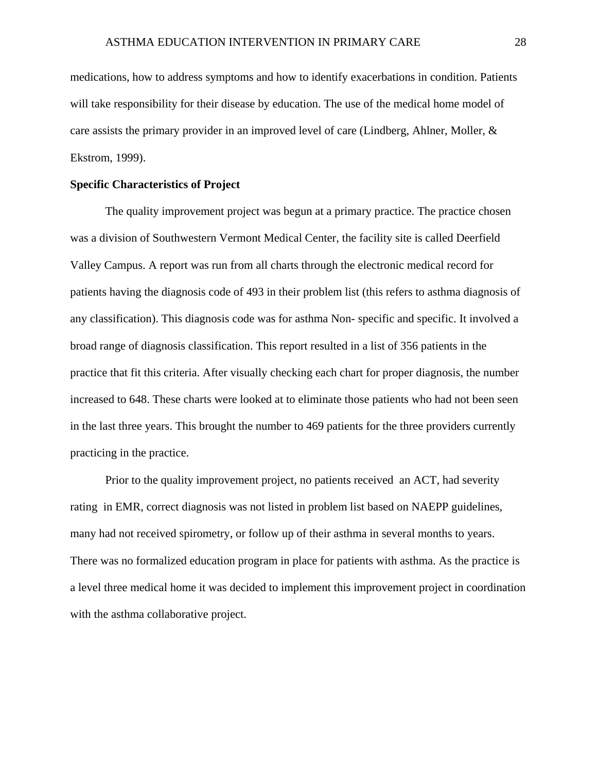medications, how to address symptoms and how to identify exacerbations in condition. Patients will take responsibility for their disease by education. The use of the medical home model of care assists the primary provider in an improved level of care (Lindberg, Ahlner, Moller, & Ekstrom, 1999).

#### **Specific Characteristics of Project**

The quality improvement project was begun at a primary practice. The practice chosen was a division of Southwestern Vermont Medical Center, the facility site is called Deerfield Valley Campus. A report was run from all charts through the electronic medical record for patients having the diagnosis code of 493 in their problem list (this refers to asthma diagnosis of any classification). This diagnosis code was for asthma Non- specific and specific. It involved a broad range of diagnosis classification. This report resulted in a list of 356 patients in the practice that fit this criteria. After visually checking each chart for proper diagnosis, the number increased to 648. These charts were looked at to eliminate those patients who had not been seen in the last three years. This brought the number to 469 patients for the three providers currently practicing in the practice.

Prior to the quality improvement project, no patients received an ACT, had severity rating in EMR, correct diagnosis was not listed in problem list based on NAEPP guidelines, many had not received spirometry, or follow up of their asthma in several months to years. There was no formalized education program in place for patients with asthma. As the practice is a level three medical home it was decided to implement this improvement project in coordination with the asthma collaborative project.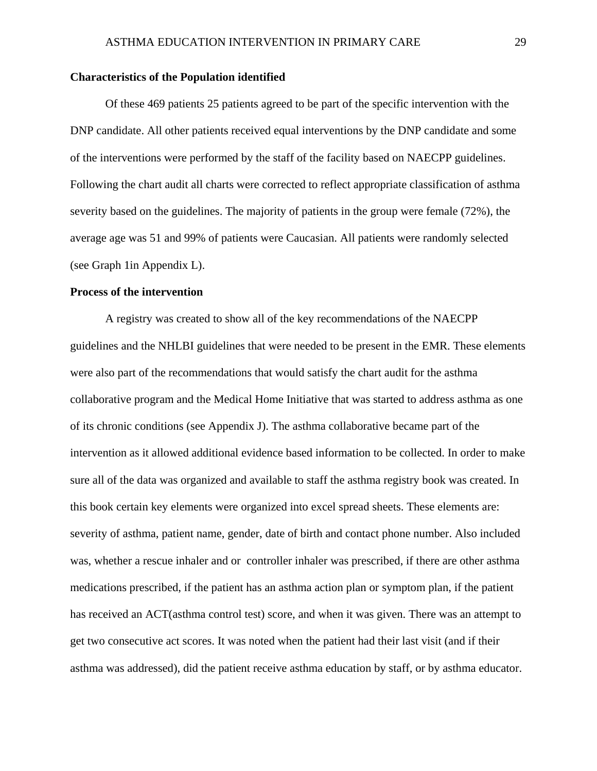#### **Characteristics of the Population identified**

Of these 469 patients 25 patients agreed to be part of the specific intervention with the DNP candidate. All other patients received equal interventions by the DNP candidate and some of the interventions were performed by the staff of the facility based on NAECPP guidelines. Following the chart audit all charts were corrected to reflect appropriate classification of asthma severity based on the guidelines. The majority of patients in the group were female (72%), the average age was 51 and 99% of patients were Caucasian. All patients were randomly selected (see Graph 1in Appendix L).

#### **Process of the intervention**

A registry was created to show all of the key recommendations of the NAECPP guidelines and the NHLBI guidelines that were needed to be present in the EMR. These elements were also part of the recommendations that would satisfy the chart audit for the asthma collaborative program and the Medical Home Initiative that was started to address asthma as one of its chronic conditions (see Appendix J). The asthma collaborative became part of the intervention as it allowed additional evidence based information to be collected. In order to make sure all of the data was organized and available to staff the asthma registry book was created. In this book certain key elements were organized into excel spread sheets. These elements are: severity of asthma, patient name, gender, date of birth and contact phone number. Also included was, whether a rescue inhaler and or controller inhaler was prescribed, if there are other asthma medications prescribed, if the patient has an asthma action plan or symptom plan, if the patient has received an ACT(asthma control test) score, and when it was given. There was an attempt to get two consecutive act scores. It was noted when the patient had their last visit (and if their asthma was addressed), did the patient receive asthma education by staff, or by asthma educator.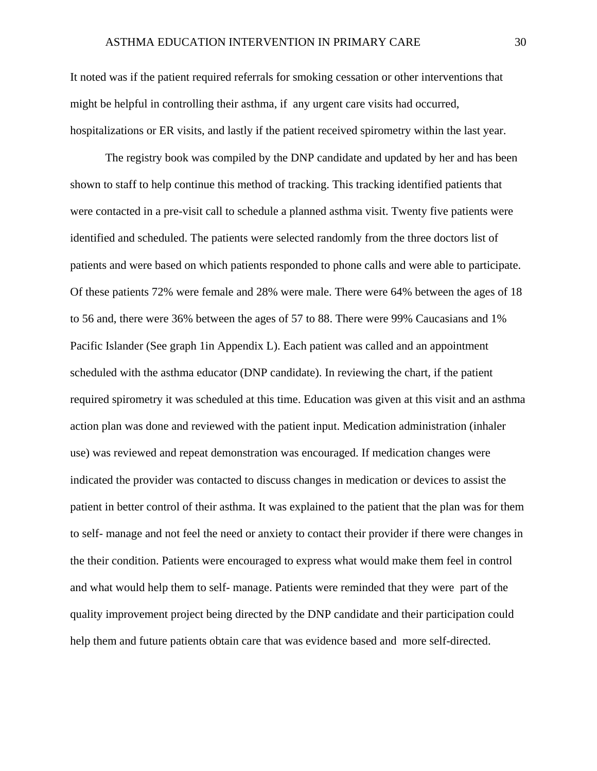It noted was if the patient required referrals for smoking cessation or other interventions that might be helpful in controlling their asthma, if any urgent care visits had occurred, hospitalizations or ER visits, and lastly if the patient received spirometry within the last year.

The registry book was compiled by the DNP candidate and updated by her and has been shown to staff to help continue this method of tracking. This tracking identified patients that were contacted in a pre-visit call to schedule a planned asthma visit. Twenty five patients were identified and scheduled. The patients were selected randomly from the three doctors list of patients and were based on which patients responded to phone calls and were able to participate. Of these patients 72% were female and 28% were male. There were 64% between the ages of 18 to 56 and, there were 36% between the ages of 57 to 88. There were 99% Caucasians and 1% Pacific Islander (See graph 1in Appendix L). Each patient was called and an appointment scheduled with the asthma educator (DNP candidate). In reviewing the chart, if the patient required spirometry it was scheduled at this time. Education was given at this visit and an asthma action plan was done and reviewed with the patient input. Medication administration (inhaler use) was reviewed and repeat demonstration was encouraged. If medication changes were indicated the provider was contacted to discuss changes in medication or devices to assist the patient in better control of their asthma. It was explained to the patient that the plan was for them to self- manage and not feel the need or anxiety to contact their provider if there were changes in the their condition. Patients were encouraged to express what would make them feel in control and what would help them to self- manage. Patients were reminded that they were part of the quality improvement project being directed by the DNP candidate and their participation could help them and future patients obtain care that was evidence based and more self-directed.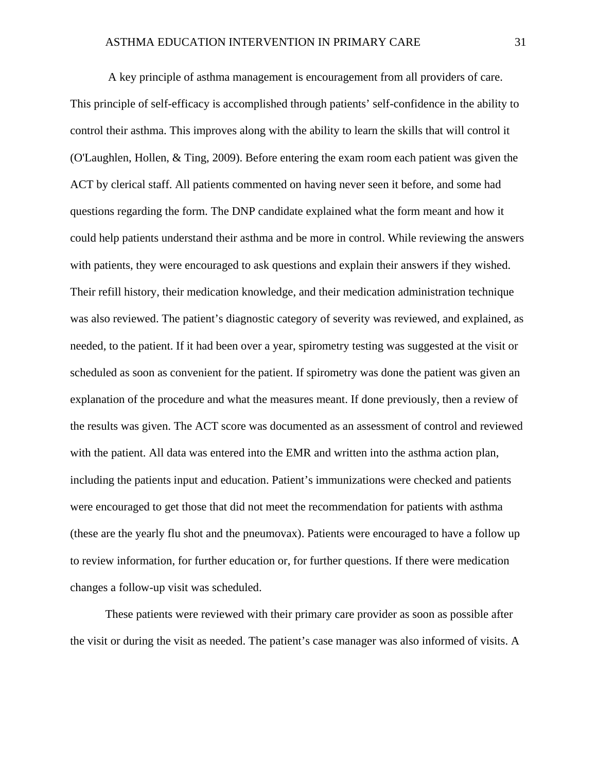A key principle of asthma management is encouragement from all providers of care. This principle of self-efficacy is accomplished through patients' self-confidence in the ability to control their asthma. This improves along with the ability to learn the skills that will control it (O'Laughlen, Hollen, & Ting, 2009). Before entering the exam room each patient was given the ACT by clerical staff. All patients commented on having never seen it before, and some had questions regarding the form. The DNP candidate explained what the form meant and how it could help patients understand their asthma and be more in control. While reviewing the answers with patients, they were encouraged to ask questions and explain their answers if they wished. Their refill history, their medication knowledge, and their medication administration technique was also reviewed. The patient's diagnostic category of severity was reviewed, and explained, as needed, to the patient. If it had been over a year, spirometry testing was suggested at the visit or scheduled as soon as convenient for the patient. If spirometry was done the patient was given an explanation of the procedure and what the measures meant. If done previously, then a review of the results was given. The ACT score was documented as an assessment of control and reviewed with the patient. All data was entered into the EMR and written into the asthma action plan, including the patients input and education. Patient's immunizations were checked and patients were encouraged to get those that did not meet the recommendation for patients with asthma (these are the yearly flu shot and the pneumovax). Patients were encouraged to have a follow up to review information, for further education or, for further questions. If there were medication changes a follow-up visit was scheduled.

These patients were reviewed with their primary care provider as soon as possible after the visit or during the visit as needed. The patient's case manager was also informed of visits. A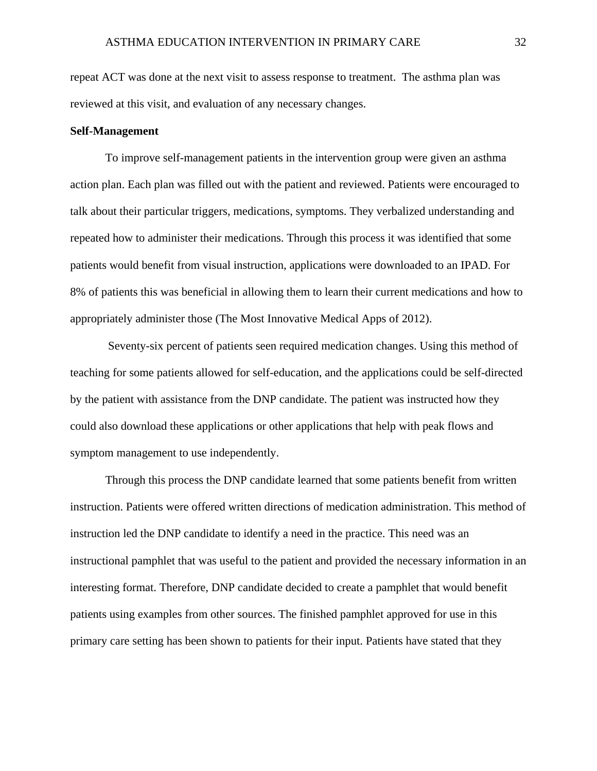repeat ACT was done at the next visit to assess response to treatment. The asthma plan was reviewed at this visit, and evaluation of any necessary changes.

#### **Self-Management**

To improve self-management patients in the intervention group were given an asthma action plan. Each plan was filled out with the patient and reviewed. Patients were encouraged to talk about their particular triggers, medications, symptoms. They verbalized understanding and repeated how to administer their medications. Through this process it was identified that some patients would benefit from visual instruction, applications were downloaded to an IPAD. For 8% of patients this was beneficial in allowing them to learn their current medications and how to appropriately administer those (The Most Innovative Medical Apps of 2012).

 Seventy-six percent of patients seen required medication changes. Using this method of teaching for some patients allowed for self-education, and the applications could be self-directed by the patient with assistance from the DNP candidate. The patient was instructed how they could also download these applications or other applications that help with peak flows and symptom management to use independently.

Through this process the DNP candidate learned that some patients benefit from written instruction. Patients were offered written directions of medication administration. This method of instruction led the DNP candidate to identify a need in the practice. This need was an instructional pamphlet that was useful to the patient and provided the necessary information in an interesting format. Therefore, DNP candidate decided to create a pamphlet that would benefit patients using examples from other sources. The finished pamphlet approved for use in this primary care setting has been shown to patients for their input. Patients have stated that they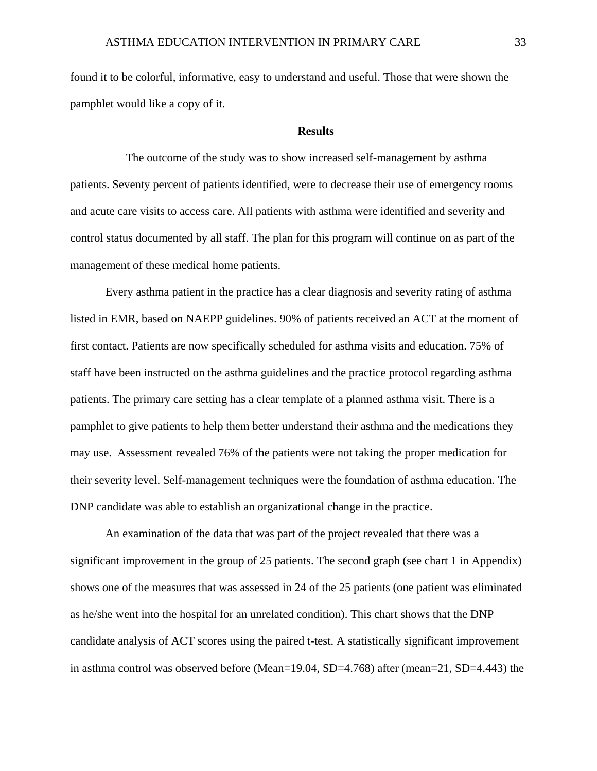found it to be colorful, informative, easy to understand and useful. Those that were shown the pamphlet would like a copy of it.

#### **Results**

 The outcome of the study was to show increased self-management by asthma patients. Seventy percent of patients identified, were to decrease their use of emergency rooms and acute care visits to access care. All patients with asthma were identified and severity and control status documented by all staff. The plan for this program will continue on as part of the management of these medical home patients.

Every asthma patient in the practice has a clear diagnosis and severity rating of asthma listed in EMR, based on NAEPP guidelines. 90% of patients received an ACT at the moment of first contact. Patients are now specifically scheduled for asthma visits and education. 75% of staff have been instructed on the asthma guidelines and the practice protocol regarding asthma patients. The primary care setting has a clear template of a planned asthma visit. There is a pamphlet to give patients to help them better understand their asthma and the medications they may use. Assessment revealed 76% of the patients were not taking the proper medication for their severity level. Self-management techniques were the foundation of asthma education. The DNP candidate was able to establish an organizational change in the practice.

An examination of the data that was part of the project revealed that there was a significant improvement in the group of 25 patients. The second graph (see chart 1 in Appendix) shows one of the measures that was assessed in 24 of the 25 patients (one patient was eliminated as he/she went into the hospital for an unrelated condition). This chart shows that the DNP candidate analysis of ACT scores using the paired t-test. A statistically significant improvement in asthma control was observed before (Mean=19.04, SD=4.768) after (mean=21, SD=4.443) the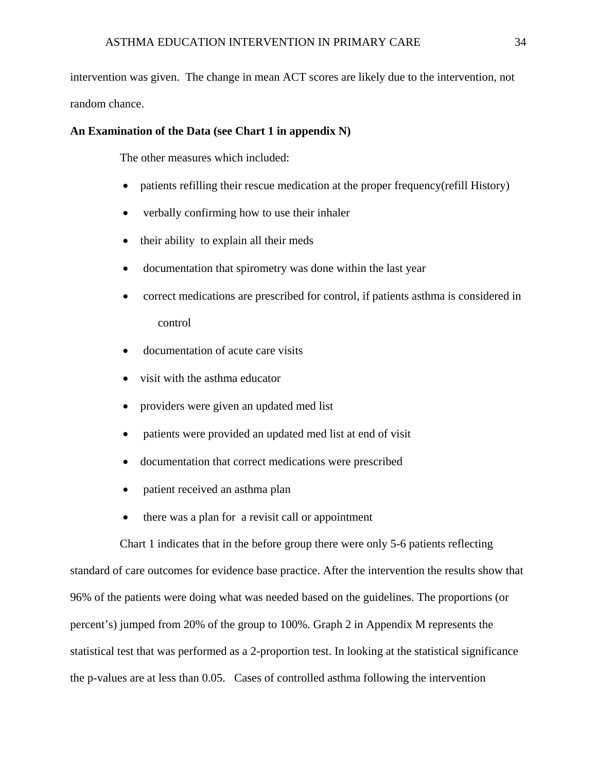intervention was given. The change in mean ACT scores are likely due to the intervention, not random chance.

#### **An Examination of the Data (see Chart 1 in appendix N)**

The other measures which included:

- patients refilling their rescue medication at the proper frequency(refill History)
- verbally confirming how to use their inhaler
- their ability to explain all their meds
- documentation that spirometry was done within the last year
- correct medications are prescribed for control, if patients asthma is considered in control
- documentation of acute care visits
- visit with the asthma educator
- providers were given an updated med list
- patients were provided an updated med list at end of visit
- documentation that correct medications were prescribed
- patient received an asthma plan
- there was a plan for a revisit call or appointment

 Chart 1 indicates that in the before group there were only 5-6 patients reflecting standard of care outcomes for evidence base practice. After the intervention the results show that 96% of the patients were doing what was needed based on the guidelines. The proportions (or percent's) jumped from 20% of the group to 100%. Graph 2 in Appendix M represents the statistical test that was performed as a 2-proportion test. In looking at the statistical significance the p-values are at less than 0.05. Cases of controlled asthma following the intervention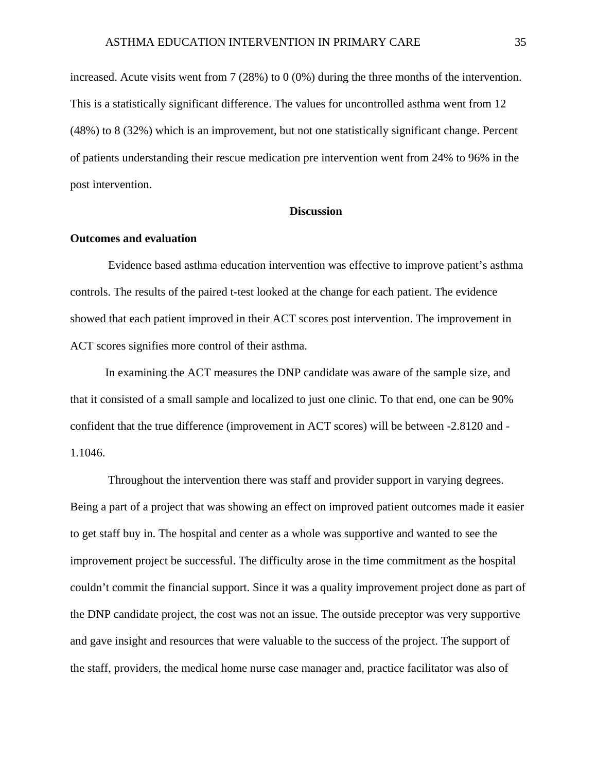increased. Acute visits went from 7 (28%) to 0 (0%) during the three months of the intervention. This is a statistically significant difference. The values for uncontrolled asthma went from 12 (48%) to 8 (32%) which is an improvement, but not one statistically significant change. Percent of patients understanding their rescue medication pre intervention went from 24% to 96% in the post intervention.

#### **Discussion**

#### **Outcomes and evaluation**

 Evidence based asthma education intervention was effective to improve patient's asthma controls. The results of the paired t-test looked at the change for each patient. The evidence showed that each patient improved in their ACT scores post intervention. The improvement in ACT scores signifies more control of their asthma.

In examining the ACT measures the DNP candidate was aware of the sample size, and that it consisted of a small sample and localized to just one clinic. To that end, one can be 90% confident that the true difference (improvement in ACT scores) will be between -2.8120 and - 1.1046.

 Throughout the intervention there was staff and provider support in varying degrees. Being a part of a project that was showing an effect on improved patient outcomes made it easier to get staff buy in. The hospital and center as a whole was supportive and wanted to see the improvement project be successful. The difficulty arose in the time commitment as the hospital couldn't commit the financial support. Since it was a quality improvement project done as part of the DNP candidate project, the cost was not an issue. The outside preceptor was very supportive and gave insight and resources that were valuable to the success of the project. The support of the staff, providers, the medical home nurse case manager and, practice facilitator was also of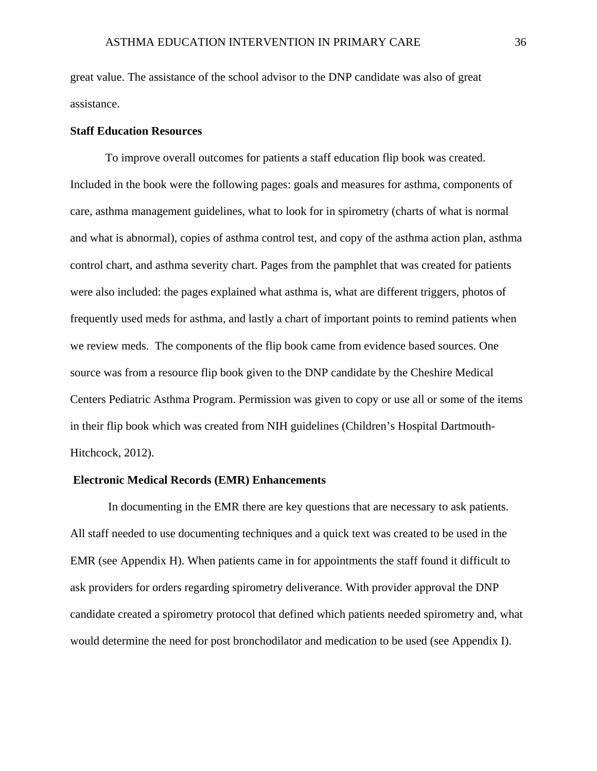great value. The assistance of the school advisor to the DNP candidate was also of great assistance.

### **Staff Education Resources**

To improve overall outcomes for patients a staff education flip book was created. Included in the book were the following pages: goals and measures for asthma, components of care, asthma management guidelines, what to look for in spirometry (charts of what is normal and what is abnormal), copies of asthma control test, and copy of the asthma action plan, asthma control chart, and asthma severity chart. Pages from the pamphlet that was created for patients were also included: the pages explained what asthma is, what are different triggers, photos of frequently used meds for asthma, and lastly a chart of important points to remind patients when we review meds. The components of the flip book came from evidence based sources. One source was from a resource flip book given to the DNP candidate by the Cheshire Medical Centers Pediatric Asthma Program. Permission was given to copy or use all or some of the items in their flip book which was created from NIH guidelines (Children's Hospital Dartmouth-Hitchcock, 2012).

#### **Electronic Medical Records (EMR) Enhancements**

 In documenting in the EMR there are key questions that are necessary to ask patients. All staff needed to use documenting techniques and a quick text was created to be used in the EMR (see Appendix H). When patients came in for appointments the staff found it difficult to ask providers for orders regarding spirometry deliverance. With provider approval the DNP candidate created a spirometry protocol that defined which patients needed spirometry and, what would determine the need for post bronchodilator and medication to be used (see Appendix I).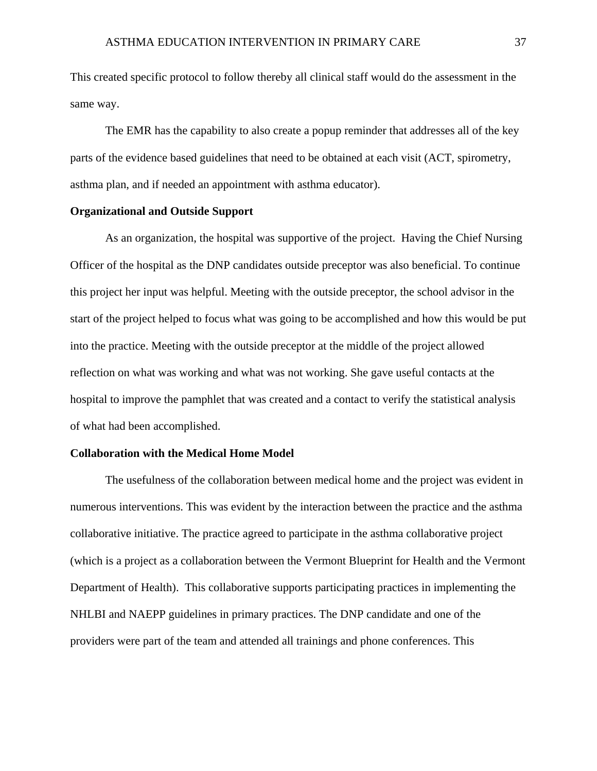This created specific protocol to follow thereby all clinical staff would do the assessment in the same way.

The EMR has the capability to also create a popup reminder that addresses all of the key parts of the evidence based guidelines that need to be obtained at each visit (ACT, spirometry, asthma plan, and if needed an appointment with asthma educator).

### **Organizational and Outside Support**

As an organization, the hospital was supportive of the project. Having the Chief Nursing Officer of the hospital as the DNP candidates outside preceptor was also beneficial. To continue this project her input was helpful. Meeting with the outside preceptor, the school advisor in the start of the project helped to focus what was going to be accomplished and how this would be put into the practice. Meeting with the outside preceptor at the middle of the project allowed reflection on what was working and what was not working. She gave useful contacts at the hospital to improve the pamphlet that was created and a contact to verify the statistical analysis of what had been accomplished.

#### **Collaboration with the Medical Home Model**

The usefulness of the collaboration between medical home and the project was evident in numerous interventions. This was evident by the interaction between the practice and the asthma collaborative initiative. The practice agreed to participate in the asthma collaborative project (which is a project as a collaboration between the Vermont Blueprint for Health and the Vermont Department of Health). This collaborative supports participating practices in implementing the NHLBI and NAEPP guidelines in primary practices. The DNP candidate and one of the providers were part of the team and attended all trainings and phone conferences. This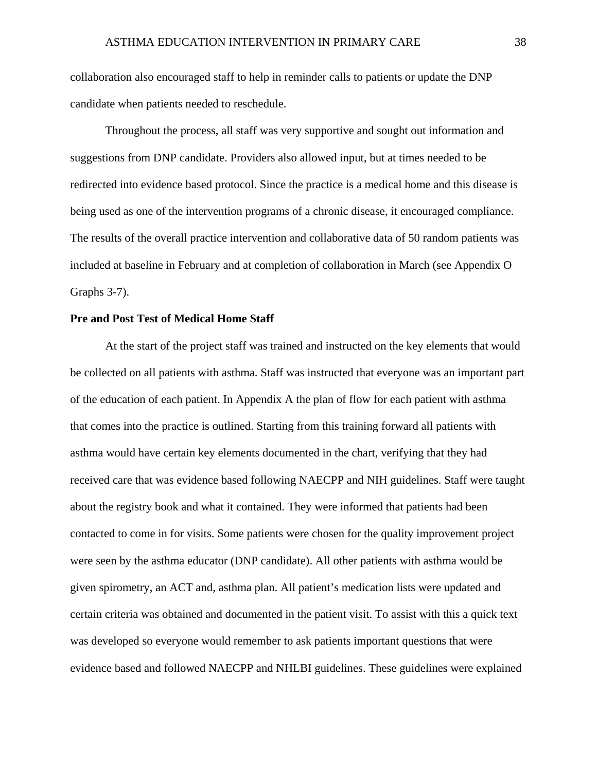collaboration also encouraged staff to help in reminder calls to patients or update the DNP candidate when patients needed to reschedule.

Throughout the process, all staff was very supportive and sought out information and suggestions from DNP candidate. Providers also allowed input, but at times needed to be redirected into evidence based protocol. Since the practice is a medical home and this disease is being used as one of the intervention programs of a chronic disease, it encouraged compliance. The results of the overall practice intervention and collaborative data of 50 random patients was included at baseline in February and at completion of collaboration in March (see Appendix O Graphs 3-7).

### **Pre and Post Test of Medical Home Staff**

At the start of the project staff was trained and instructed on the key elements that would be collected on all patients with asthma. Staff was instructed that everyone was an important part of the education of each patient. In Appendix A the plan of flow for each patient with asthma that comes into the practice is outlined. Starting from this training forward all patients with asthma would have certain key elements documented in the chart, verifying that they had received care that was evidence based following NAECPP and NIH guidelines. Staff were taught about the registry book and what it contained. They were informed that patients had been contacted to come in for visits. Some patients were chosen for the quality improvement project were seen by the asthma educator (DNP candidate). All other patients with asthma would be given spirometry, an ACT and, asthma plan. All patient's medication lists were updated and certain criteria was obtained and documented in the patient visit. To assist with this a quick text was developed so everyone would remember to ask patients important questions that were evidence based and followed NAECPP and NHLBI guidelines. These guidelines were explained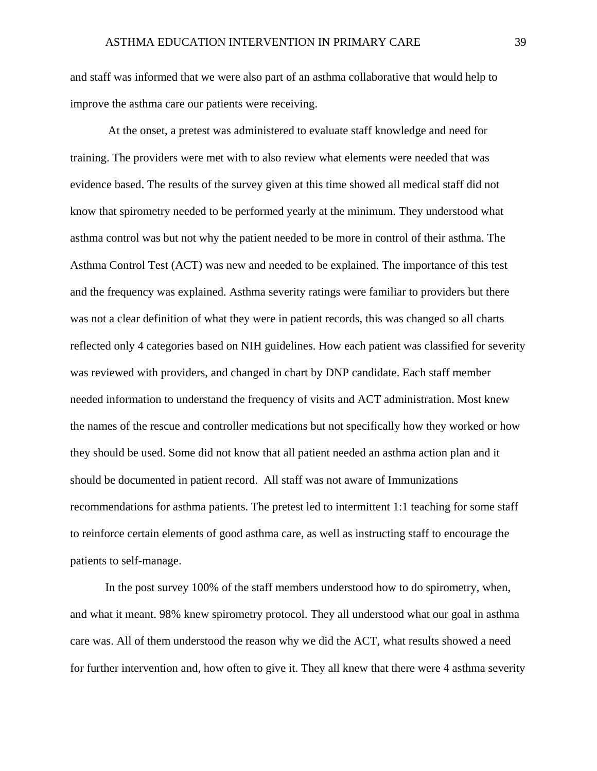and staff was informed that we were also part of an asthma collaborative that would help to improve the asthma care our patients were receiving.

 At the onset, a pretest was administered to evaluate staff knowledge and need for training. The providers were met with to also review what elements were needed that was evidence based. The results of the survey given at this time showed all medical staff did not know that spirometry needed to be performed yearly at the minimum. They understood what asthma control was but not why the patient needed to be more in control of their asthma. The Asthma Control Test (ACT) was new and needed to be explained. The importance of this test and the frequency was explained. Asthma severity ratings were familiar to providers but there was not a clear definition of what they were in patient records, this was changed so all charts reflected only 4 categories based on NIH guidelines. How each patient was classified for severity was reviewed with providers, and changed in chart by DNP candidate. Each staff member needed information to understand the frequency of visits and ACT administration. Most knew the names of the rescue and controller medications but not specifically how they worked or how they should be used. Some did not know that all patient needed an asthma action plan and it should be documented in patient record. All staff was not aware of Immunizations recommendations for asthma patients. The pretest led to intermittent 1:1 teaching for some staff to reinforce certain elements of good asthma care, as well as instructing staff to encourage the patients to self-manage.

In the post survey 100% of the staff members understood how to do spirometry, when, and what it meant. 98% knew spirometry protocol. They all understood what our goal in asthma care was. All of them understood the reason why we did the ACT, what results showed a need for further intervention and, how often to give it. They all knew that there were 4 asthma severity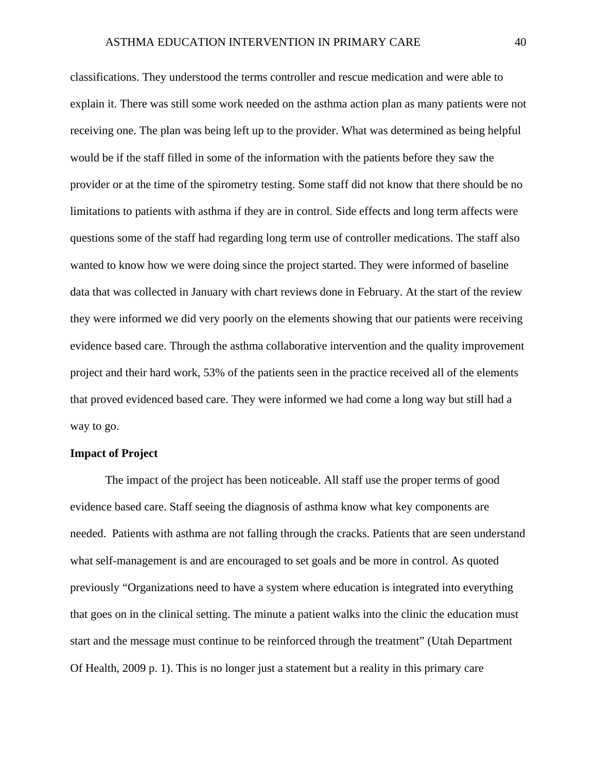classifications. They understood the terms controller and rescue medication and were able to explain it. There was still some work needed on the asthma action plan as many patients were not receiving one. The plan was being left up to the provider. What was determined as being helpful would be if the staff filled in some of the information with the patients before they saw the provider or at the time of the spirometry testing. Some staff did not know that there should be no limitations to patients with asthma if they are in control. Side effects and long term affects were questions some of the staff had regarding long term use of controller medications. The staff also wanted to know how we were doing since the project started. They were informed of baseline data that was collected in January with chart reviews done in February. At the start of the review they were informed we did very poorly on the elements showing that our patients were receiving evidence based care. Through the asthma collaborative intervention and the quality improvement project and their hard work, 53% of the patients seen in the practice received all of the elements that proved evidenced based care. They were informed we had come a long way but still had a way to go.

### **Impact of Project**

The impact of the project has been noticeable. All staff use the proper terms of good evidence based care. Staff seeing the diagnosis of asthma know what key components are needed. Patients with asthma are not falling through the cracks. Patients that are seen understand what self-management is and are encouraged to set goals and be more in control. As quoted previously "Organizations need to have a system where education is integrated into everything that goes on in the clinical setting. The minute a patient walks into the clinic the education must start and the message must continue to be reinforced through the treatment" (Utah Department Of Health, 2009 p. 1). This is no longer just a statement but a reality in this primary care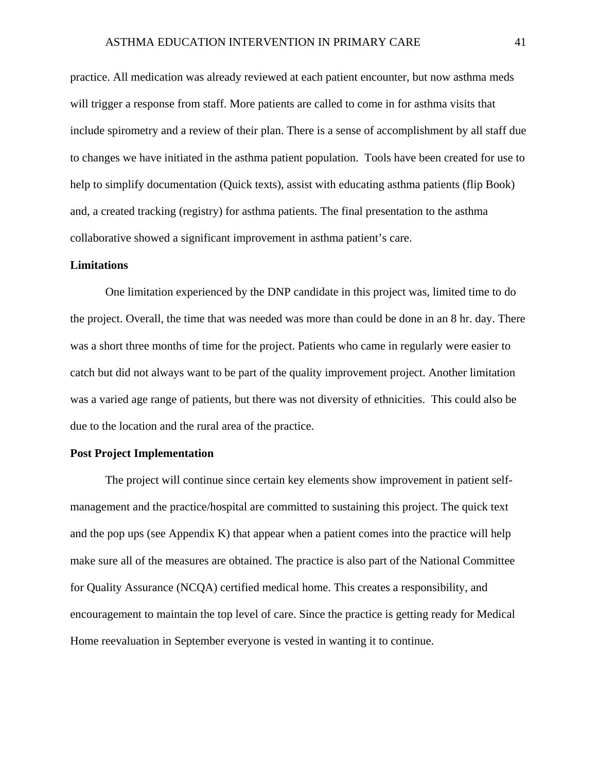practice. All medication was already reviewed at each patient encounter, but now asthma meds will trigger a response from staff. More patients are called to come in for asthma visits that include spirometry and a review of their plan. There is a sense of accomplishment by all staff due to changes we have initiated in the asthma patient population. Tools have been created for use to help to simplify documentation (Quick texts), assist with educating asthma patients (flip Book) and, a created tracking (registry) for asthma patients. The final presentation to the asthma collaborative showed a significant improvement in asthma patient's care.

### **Limitations**

One limitation experienced by the DNP candidate in this project was, limited time to do the project. Overall, the time that was needed was more than could be done in an 8 hr. day. There was a short three months of time for the project. Patients who came in regularly were easier to catch but did not always want to be part of the quality improvement project. Another limitation was a varied age range of patients, but there was not diversity of ethnicities. This could also be due to the location and the rural area of the practice.

### **Post Project Implementation**

The project will continue since certain key elements show improvement in patient selfmanagement and the practice/hospital are committed to sustaining this project. The quick text and the pop ups (see Appendix K) that appear when a patient comes into the practice will help make sure all of the measures are obtained. The practice is also part of the National Committee for Quality Assurance (NCQA) certified medical home. This creates a responsibility, and encouragement to maintain the top level of care. Since the practice is getting ready for Medical Home reevaluation in September everyone is vested in wanting it to continue.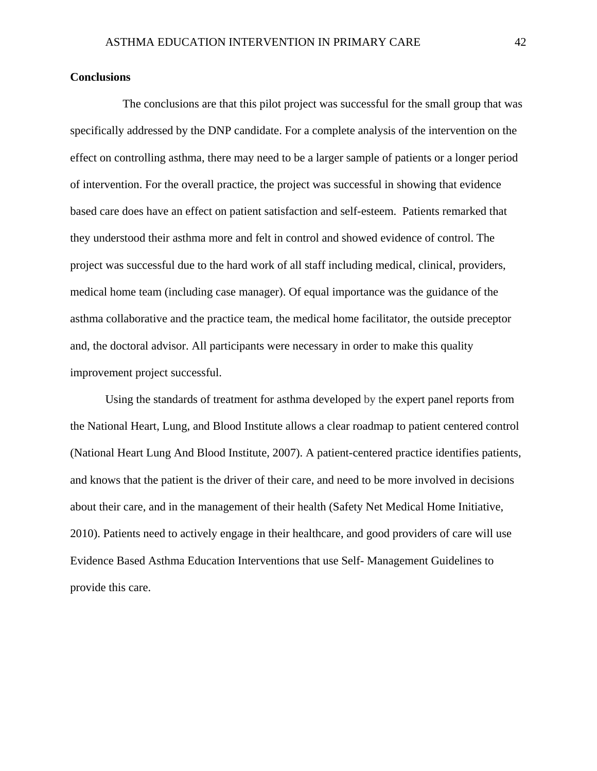### **Conclusions**

 The conclusions are that this pilot project was successful for the small group that was specifically addressed by the DNP candidate. For a complete analysis of the intervention on the effect on controlling asthma, there may need to be a larger sample of patients or a longer period of intervention. For the overall practice, the project was successful in showing that evidence based care does have an effect on patient satisfaction and self-esteem. Patients remarked that they understood their asthma more and felt in control and showed evidence of control. The project was successful due to the hard work of all staff including medical, clinical, providers, medical home team (including case manager). Of equal importance was the guidance of the asthma collaborative and the practice team, the medical home facilitator, the outside preceptor and, the doctoral advisor. All participants were necessary in order to make this quality improvement project successful.

Using the standards of treatment for asthma developed by the expert panel reports from the National Heart, Lung, and Blood Institute allows a clear roadmap to patient centered control (National Heart Lung And Blood Institute, 2007). A patient-centered practice identifies patients, and knows that the patient is the driver of their care, and need to be more involved in decisions about their care, and in the management of their health (Safety Net Medical Home Initiative, 2010). Patients need to actively engage in their healthcare, and good providers of care will use Evidence Based Asthma Education Interventions that use Self- Management Guidelines to provide this care.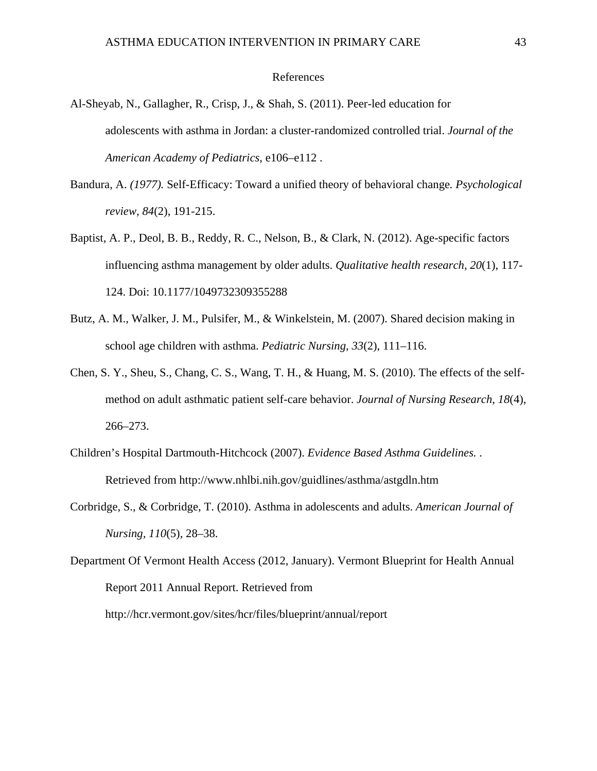### References

- Al-Sheyab, N., Gallagher, R., Crisp, J., & Shah, S. (2011). Peer-led education for adolescents with asthma in Jordan: a cluster-randomized controlled trial. *Journal of the American Academy of Pediatrics*, e106–e112 .
- Bandura, A. *(1977).* Self-Efficacy: Toward a unified theory of behavioral change*. Psychological review, 84*(2), 191-215.
- Baptist, A. P., Deol, B. B., Reddy, R. C., Nelson, B., & Clark, N. (2012). Age-specific factors influencing asthma management by older adults. *Qualitative health research, 20*(1), 117- 124. Doi: 10.1177/1049732309355288
- Butz, A. M., Walker, J. M., Pulsifer, M., & Winkelstein, M. (2007). Shared decision making in school age children with asthma. *Pediatric Nursing, 33*(2), 111–116.
- Chen, S. Y., Sheu, S., Chang, C. S., Wang, T. H., & Huang, M. S. (2010). The effects of the selfmethod on adult asthmatic patient self-care behavior. *Journal of Nursing Research, 18*(4), 266–273.
- Children's Hospital Dartmouth-Hitchcock (2007). *Evidence Based Asthma Guidelines.* . Retrieved from http://www.nhlbi.nih.gov/guidlines/asthma/astgdln.htm
- Corbridge, S., & Corbridge, T. (2010). Asthma in adolescents and adults. *American Journal of Nursing, 110*(5), 28–38.
- Department Of Vermont Health Access (2012, January). Vermont Blueprint for Health Annual Report 2011 Annual Report. Retrieved from http://hcr.vermont.gov/sites/hcr/files/blueprint/annual/report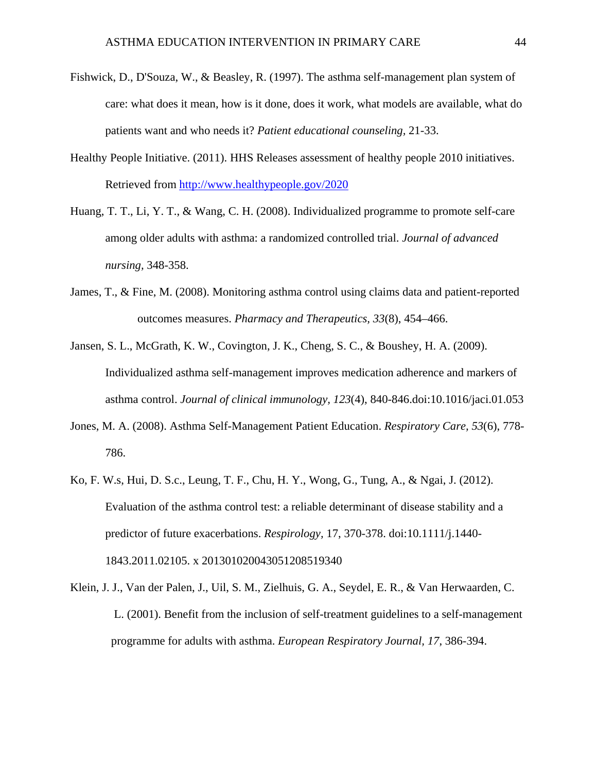- Fishwick, D., D'Souza, W., & Beasley, R. (1997). The asthma self-management plan system of care: what does it mean, how is it done, does it work, what models are available, what do patients want and who needs it? *Patient educational counseling,* 21-33.
- Healthy People Initiative. (2011). HHS Releases assessment of healthy people 2010 initiatives. Retrieved from http://www.healthypeople.gov/2020
- Huang, T. T., Li, Y. T., & Wang, C. H. (2008). Individualized programme to promote self-care among older adults with asthma: a randomized controlled trial. *Journal of advanced nursing,* 348-358.
- James, T., & Fine, M. (2008). Monitoring asthma control using claims data and patient-reported outcomes measures. *Pharmacy and Therapeutics, 33*(8), 454–466.
- Jansen, S. L., McGrath, K. W., Covington, J. K., Cheng, S. C., & Boushey, H. A. (2009). Individualized asthma self-management improves medication adherence and markers of asthma control. *Journal of clinical immunology, 123*(4), 840-846.doi:10.1016/jaci.01.053
- Jones, M. A. (2008). Asthma Self-Management Patient Education. *Respiratory Care, 53*(6), 778- 786.
- Ko, F. W.s, Hui, D. S.c., Leung, T. F., Chu, H. Y., Wong, G., Tung, A., & Ngai, J. (2012). Evaluation of the asthma control test: a reliable determinant of disease stability and a predictor of future exacerbations. *Respirology,* 17, 370-378. doi:10.1111/j.1440- 1843.2011.02105. x 201301020043051208519340
- Klein, J. J., Van der Palen, J., Uil, S. M., Zielhuis, G. A., Seydel, E. R., & Van Herwaarden, C. L. (2001). Benefit from the inclusion of self-treatment guidelines to a self-management programme for adults with asthma. *European Respiratory Journal, 17*, 386-394.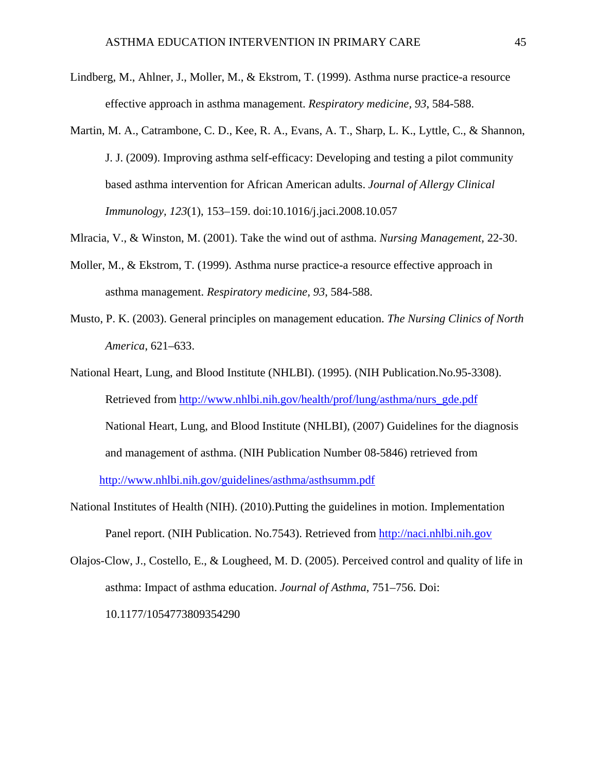- Lindberg, M., Ahlner, J., Moller, M., & Ekstrom, T. (1999). Asthma nurse practice-a resource effective approach in asthma management. *Respiratory medicine, 93*, 584-588.
- Martin, M. A., Catrambone, C. D., Kee, R. A., Evans, A. T., Sharp, L. K., Lyttle, C., & Shannon, J. J. (2009). Improving asthma self-efficacy: Developing and testing a pilot community based asthma intervention for African American adults. *Journal of Allergy Clinical Immunology, 123*(1), 153–159. doi:10.1016/j.jaci.2008.10.057
- Mlracia, V., & Winston, M. (2001). Take the wind out of asthma. *Nursing Management,* 22-30.
- Moller, M., & Ekstrom, T. (1999). Asthma nurse practice-a resource effective approach in asthma management. *Respiratory medicine, 93*, 584-588.
- Musto, P. K. (2003). General principles on management education. *The Nursing Clinics of North America*, 621–633.
- National Heart, Lung, and Blood Institute (NHLBI). (1995). (NIH Publication.No.95-3308). Retrieved from http://www.nhlbi.nih.gov/health/prof/lung/asthma/nurs\_gde.pdf National Heart, Lung, and Blood Institute (NHLBI), (2007) Guidelines for the diagnosis and management of asthma. (NIH Publication Number 08-5846) retrieved from http://www.nhlbi.nih.gov/guidelines/asthma/asthsumm.pdf
- National Institutes of Health (NIH). (2010).Putting the guidelines in motion. Implementation Panel report. (NIH Publication. No.7543). Retrieved from http://naci.nhlbi.nih.gov
- Olajos-Clow, J., Costello, E., & Lougheed, M. D. (2005). Perceived control and quality of life in asthma: Impact of asthma education. *Journal of Asthma*, 751–756. Doi: 10.1177/1054773809354290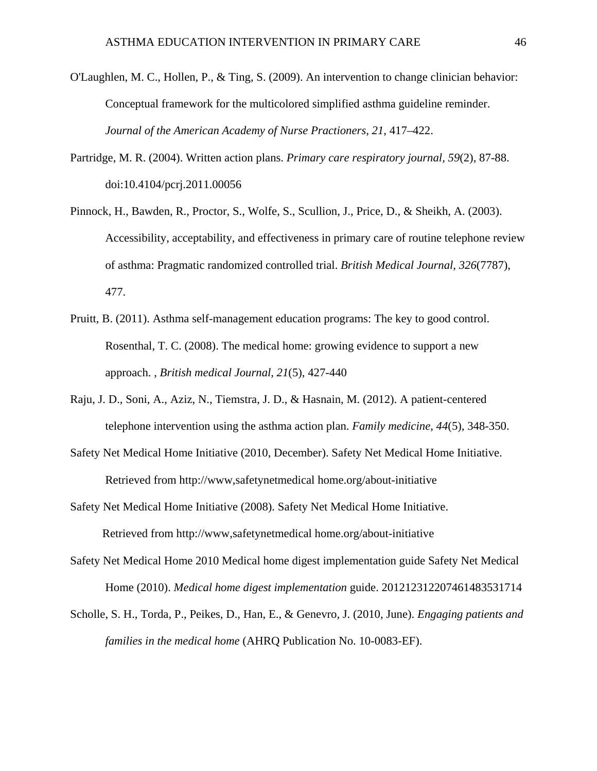- O'Laughlen, M. C., Hollen, P., & Ting, S. (2009). An intervention to change clinician behavior: Conceptual framework for the multicolored simplified asthma guideline reminder. *Journal of the American Academy of Nurse Practioners, 21*, 417–422.
- Partridge, M. R. (2004). Written action plans. *Primary care respiratory journal, 59*(2), 87-88. doi:10.4104/pcrj.2011.00056
- Pinnock, H., Bawden, R., Proctor, S., Wolfe, S., Scullion, J., Price, D., & Sheikh, A. (2003). Accessibility, acceptability, and effectiveness in primary care of routine telephone review of asthma: Pragmatic randomized controlled trial. *British Medical Journal, 326*(7787), 477.
- Pruitt, B. (2011). Asthma self-management education programs: The key to good control. Rosenthal, T. C. (2008). The medical home: growing evidence to support a new approach. *, British medical Journal, 21*(5), 427-440
- Raju, J. D., Soni, A., Aziz, N., Tiemstra, J. D., & Hasnain, M. (2012). A patient-centered telephone intervention using the asthma action plan. *Family medicine, 44*(5), 348-350.
- Safety Net Medical Home Initiative (2010, December). Safety Net Medical Home Initiative. Retrieved from http://www,safetynetmedical home.org/about-initiative
- Safety Net Medical Home Initiative (2008). Safety Net Medical Home Initiative. Retrieved from http://www,safetynetmedical home.org/about-initiative
- Safety Net Medical Home 2010 Medical home digest implementation guide Safety Net Medical Home (2010). *Medical home digest implementation* guide. 201212312207461483531714
- Scholle, S. H., Torda, P., Peikes, D., Han, E., & Genevro, J. (2010, June). *Engaging patients and families in the medical home* (AHRQ Publication No. 10-0083-EF).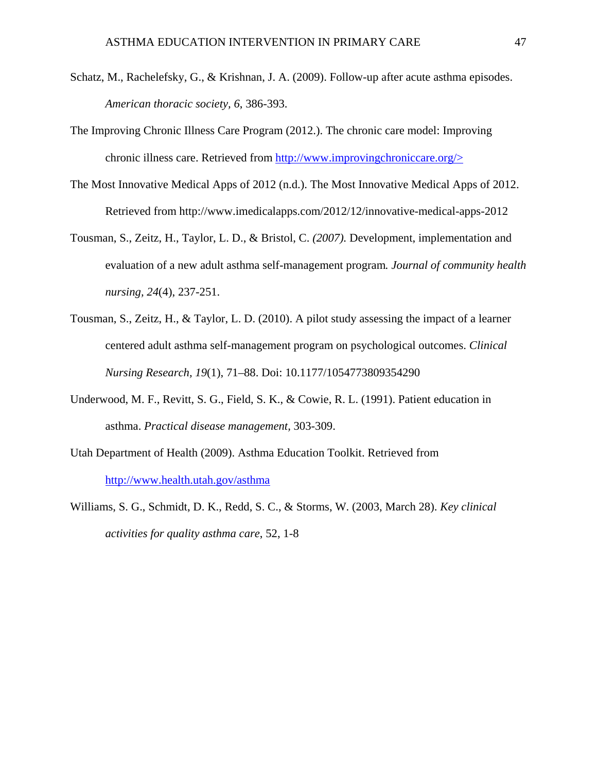- Schatz, M., Rachelefsky, G., & Krishnan, J. A. (2009). Follow-up after acute asthma episodes. *American thoracic society, 6*, 386-393.
- The Improving Chronic Illness Care Program (2012.). The chronic care model: Improving chronic illness care. Retrieved from http://www.improvingchroniccare.org/>
- The Most Innovative Medical Apps of 2012 (n.d.). The Most Innovative Medical Apps of 2012. Retrieved from http://www.imedicalapps.com/2012/12/innovative-medical-apps-2012
- Tousman, S., Zeitz, H., Taylor, L. D., & Bristol, C. *(2007).* Development, implementation and evaluation of a new adult asthma self-management program*. Journal of community health nursing, 24*(4), 237-251.
- Tousman, S., Zeitz, H., & Taylor, L. D. (2010). A pilot study assessing the impact of a learner centered adult asthma self-management program on psychological outcomes. *Clinical Nursing Research, 19*(1), 71–88. Doi: 10.1177/1054773809354290
- Underwood, M. F., Revitt, S. G., Field, S. K., & Cowie, R. L. (1991). Patient education in asthma. *Practical disease management,* 303-309.
- Utah Department of Health (2009). Asthma Education Toolkit. Retrieved from http://www.health.utah.gov/asthma
- Williams, S. G., Schmidt, D. K., Redd, S. C., & Storms, W. (2003, March 28). *Key clinical activities for quality asthma care*, 52, 1-8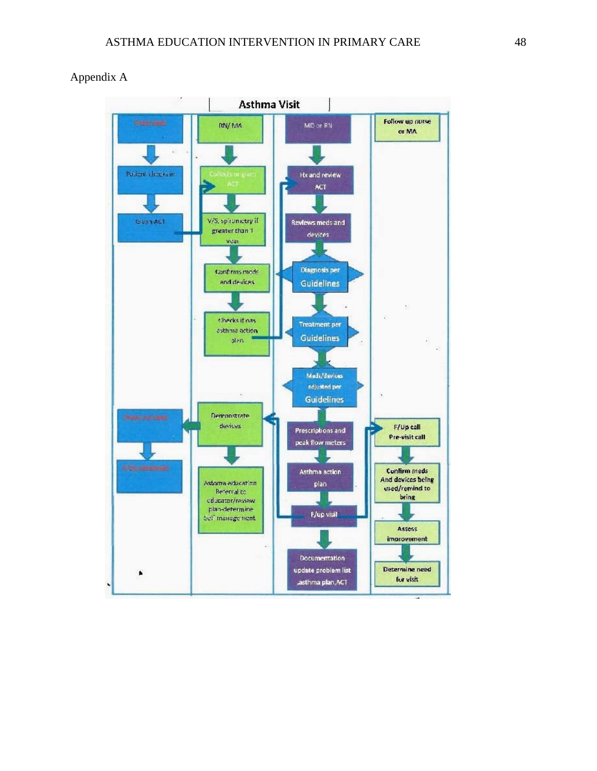

### Appendix A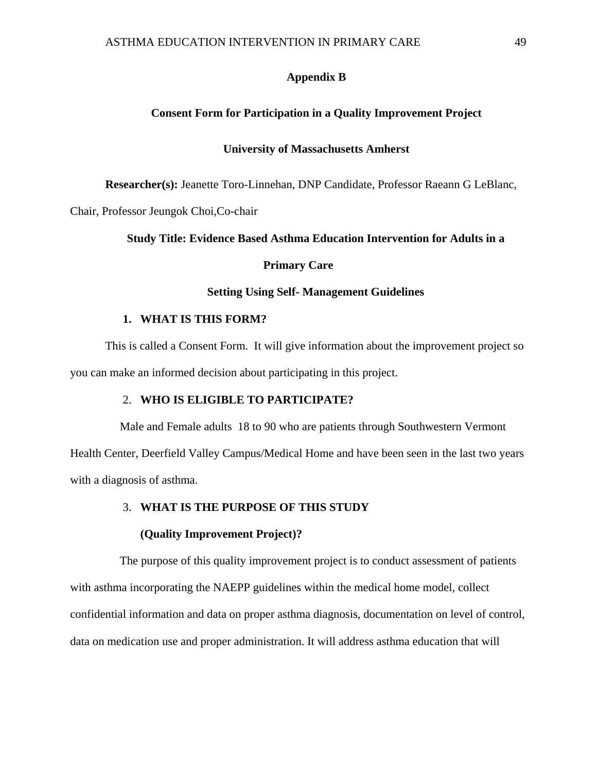### **Appendix B**

### **Consent Form for Participation in a Quality Improvement Project**

### **University of Massachusetts Amherst**

**Researcher(s):** Jeanette Toro-Linnehan, DNP Candidate, Professor Raeann G LeBlanc,

Chair, Professor Jeungok Choi,Co-chair

### **Study Title: Evidence Based Asthma Education Intervention for Adults in a**

### **Primary Care**

### **Setting Using Self- Management Guidelines**

#### **1. WHAT IS THIS FORM?**

This is called a Consent Form. It will give information about the improvement project so you can make an informed decision about participating in this project.

### 2. **WHO IS ELIGIBLE TO PARTICIPATE?**

 Male and Female adults 18 to 90 who are patients through Southwestern Vermont Health Center, Deerfield Valley Campus/Medical Home and have been seen in the last two years with a diagnosis of asthma.

### 3. **WHAT IS THE PURPOSE OF THIS STUDY**

#### **(Quality Improvement Project)?**

 The purpose of this quality improvement project is to conduct assessment of patients with asthma incorporating the NAEPP guidelines within the medical home model, collect confidential information and data on proper asthma diagnosis, documentation on level of control, data on medication use and proper administration. It will address asthma education that will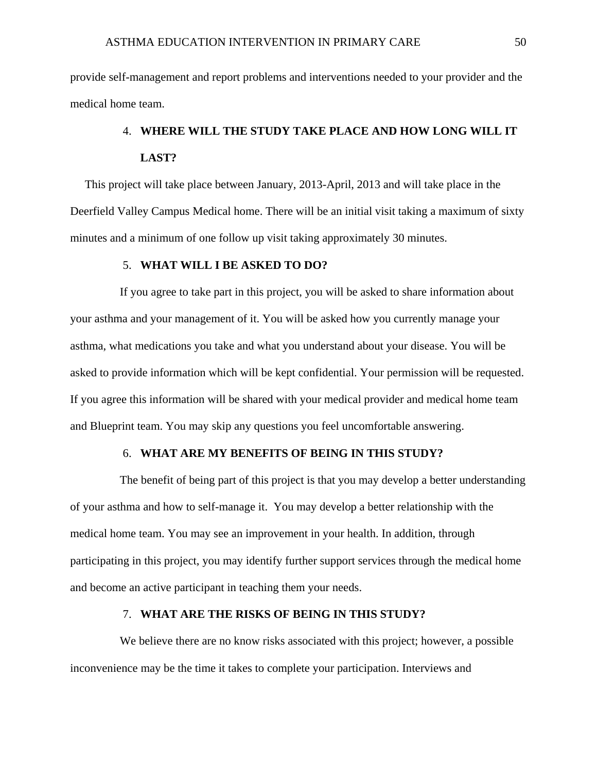provide self-management and report problems and interventions needed to your provider and the medical home team.

# 4. **WHERE WILL THE STUDY TAKE PLACE AND HOW LONG WILL IT LAST?**

 This project will take place between January, 2013-April, 2013 and will take place in the Deerfield Valley Campus Medical home. There will be an initial visit taking a maximum of sixty minutes and a minimum of one follow up visit taking approximately 30 minutes.

### 5. **WHAT WILL I BE ASKED TO DO?**

 If you agree to take part in this project, you will be asked to share information about your asthma and your management of it. You will be asked how you currently manage your asthma, what medications you take and what you understand about your disease. You will be asked to provide information which will be kept confidential. Your permission will be requested. If you agree this information will be shared with your medical provider and medical home team and Blueprint team. You may skip any questions you feel uncomfortable answering.

### 6. **WHAT ARE MY BENEFITS OF BEING IN THIS STUDY?**

 The benefit of being part of this project is that you may develop a better understanding of your asthma and how to self-manage it. You may develop a better relationship with the medical home team. You may see an improvement in your health. In addition, through participating in this project, you may identify further support services through the medical home and become an active participant in teaching them your needs.

### 7. **WHAT ARE THE RISKS OF BEING IN THIS STUDY?**

We believe there are no know risks associated with this project; however, a possible inconvenience may be the time it takes to complete your participation. Interviews and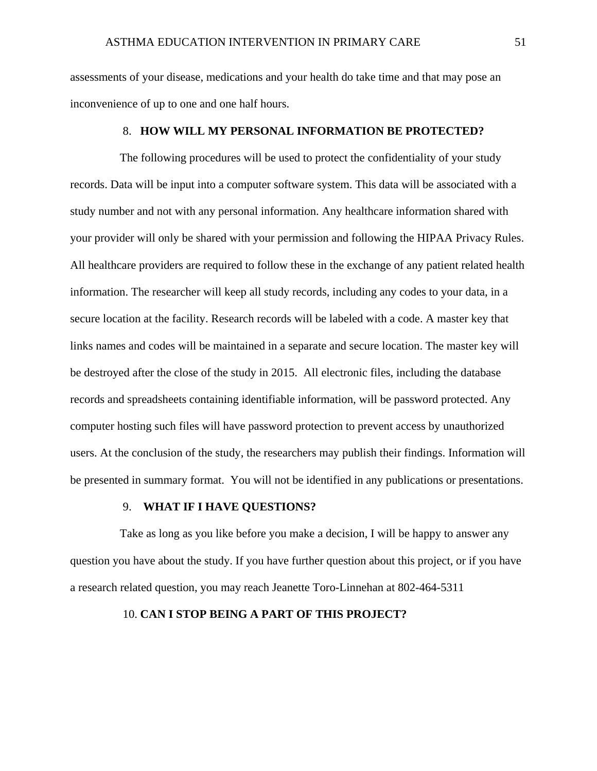assessments of your disease, medications and your health do take time and that may pose an inconvenience of up to one and one half hours.

### 8. **HOW WILL MY PERSONAL INFORMATION BE PROTECTED?**

 The following procedures will be used to protect the confidentiality of your study records. Data will be input into a computer software system. This data will be associated with a study number and not with any personal information. Any healthcare information shared with your provider will only be shared with your permission and following the HIPAA Privacy Rules. All healthcare providers are required to follow these in the exchange of any patient related health information. The researcher will keep all study records, including any codes to your data, in a secure location at the facility. Research records will be labeled with a code. A master key that links names and codes will be maintained in a separate and secure location. The master key will be destroyed after the close of the study in 2015. All electronic files, including the database records and spreadsheets containing identifiable information, will be password protected. Any computer hosting such files will have password protection to prevent access by unauthorized users. At the conclusion of the study, the researchers may publish their findings. Information will be presented in summary format. You will not be identified in any publications or presentations.

### 9. **WHAT IF I HAVE QUESTIONS?**

 Take as long as you like before you make a decision, I will be happy to answer any question you have about the study. If you have further question about this project, or if you have a research related question, you may reach Jeanette Toro-Linnehan at 802-464-5311

### 10. **CAN I STOP BEING A PART OF THIS PROJECT?**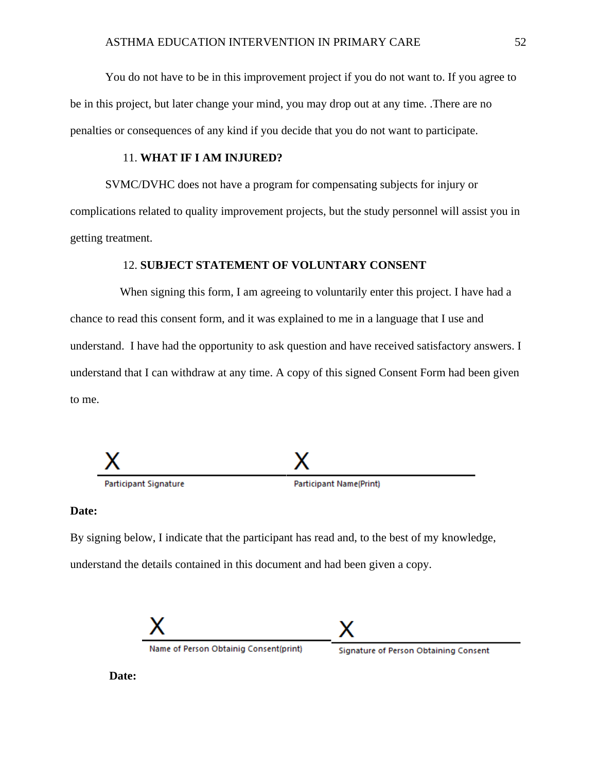You do not have to be in this improvement project if you do not want to. If you agree to be in this project, but later change your mind, you may drop out at any time. .There are no penalties or consequences of any kind if you decide that you do not want to participate.

### 11. **WHAT IF I AM INJURED?**

SVMC/DVHC does not have a program for compensating subjects for injury or complications related to quality improvement projects, but the study personnel will assist you in getting treatment.

### 12. **SUBJECT STATEMENT OF VOLUNTARY CONSENT**

When signing this form, I am agreeing to voluntarily enter this project. I have had a chance to read this consent form, and it was explained to me in a language that I use and understand. I have had the opportunity to ask question and have received satisfactory answers. I understand that I can withdraw at any time. A copy of this signed Consent Form had been given to me.



### **Date:**

By signing below, I indicate that the participant has read and, to the best of my knowledge, understand the details contained in this document and had been given a copy.



Name of Person Obtainig Consent(print)

Signature of Person Obtaining Consent

**Date:**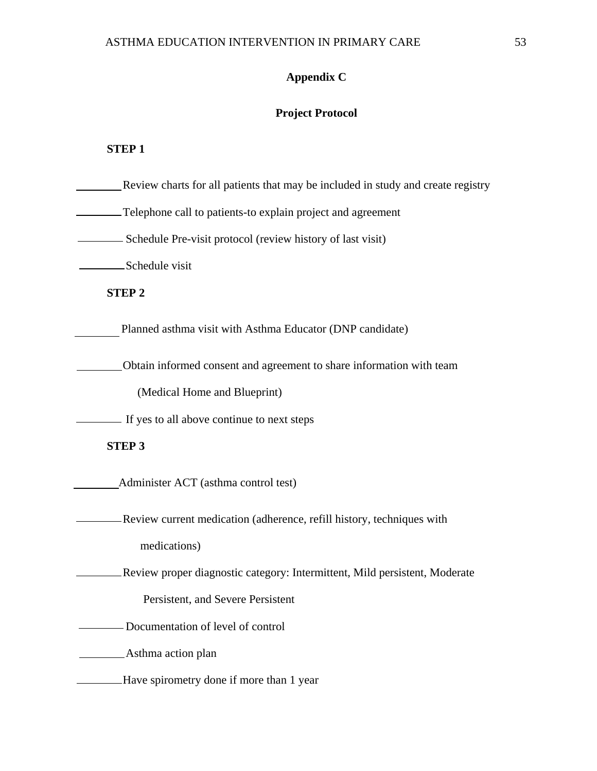# **Appendix C**

## **Project Protocol**

### **STEP 1**

| Review charts for all patients that may be included in study and create registry |
|----------------------------------------------------------------------------------|
| -Telephone call to patients-to explain project and agreement                     |
| - Schedule Pre-visit protocol (review history of last visit)                     |
| Schedule visit                                                                   |
| <b>STEP 2</b>                                                                    |
| Planned asthma visit with Asthma Educator (DNP candidate)                        |
| Obtain informed consent and agreement to share information with team             |
| (Medical Home and Blueprint)                                                     |
| If yes to all above continue to next steps                                       |
| <b>STEP 3</b>                                                                    |
| Administer ACT (asthma control test)                                             |
| Review current medication (adherence, refill history, techniques with            |
| medications)                                                                     |
| Review proper diagnostic category: Intermittent, Mild persistent, Moderate       |
| Persistent, and Severe Persistent                                                |
| Documentation of level of control                                                |
| Asthma action plan                                                               |
| Have spirometry done if more than 1 year                                         |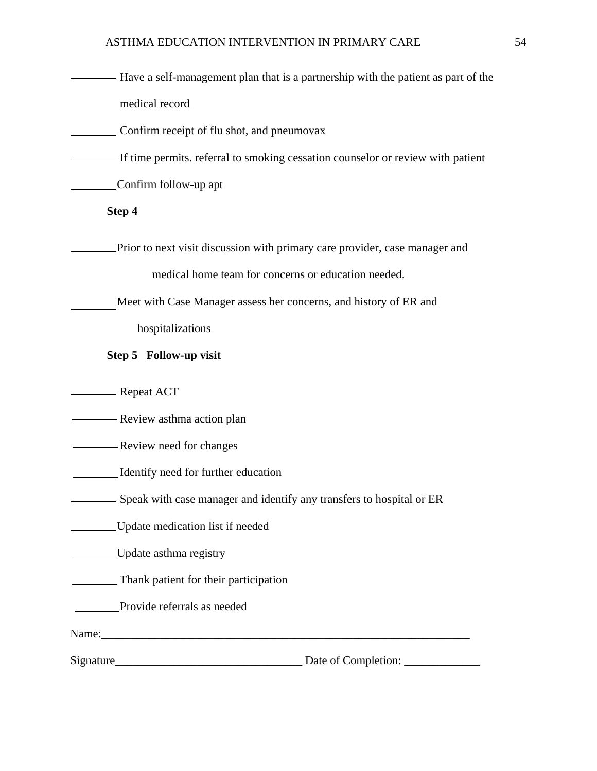- **Have a self-management plan that is a partnership with the patient as part of the** medical record
- Confirm receipt of flu shot, and pneumovax
- If time permits. referral to smoking cessation counselor or review with patient

Confirm follow-up apt

### **Step 4**

**EXECUTE:** Prior to next visit discussion with primary care provider, case manager and

medical home team for concerns or education needed.

Meet with Case Manager assess her concerns, and history of ER and

hospitalizations

### **Step 5 Follow-up visit**

**Example 2** Repeat ACT

**Exercise** Review asthma action plan

**EXECUTE:** Review need for changes

Identify need for further education

Speak with case manager and identify any transfers to hospital or ER

Update medication list if needed

Update asthma registry

Thank patient for their participation

**Provide referrals as needed** 

Name:

Signature\_\_\_\_\_\_\_\_\_\_\_\_\_\_\_\_\_\_\_\_\_\_\_\_\_\_\_\_\_\_\_\_ Date of Completion: \_\_\_\_\_\_\_\_\_\_\_\_\_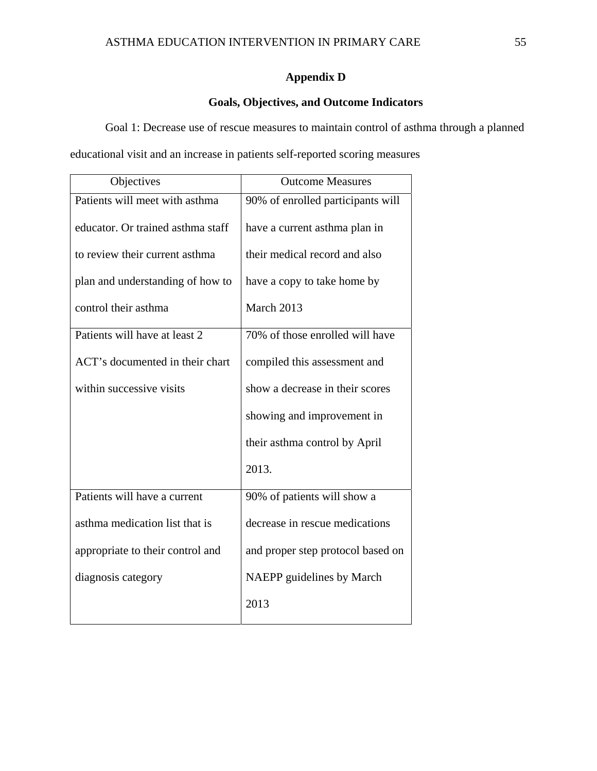### **Appendix D**

### **Goals, Objectives, and Outcome Indicators**

Goal 1: Decrease use of rescue measures to maintain control of asthma through a planned educational visit and an increase in patients self-reported scoring measures

| Objectives                        | <b>Outcome Measures</b>           |
|-----------------------------------|-----------------------------------|
| Patients will meet with asthma    | 90% of enrolled participants will |
| educator. Or trained asthma staff | have a current asthma plan in     |
| to review their current asthma    | their medical record and also     |
| plan and understanding of how to  | have a copy to take home by       |
| control their asthma              | March 2013                        |
| Patients will have at least 2     | 70% of those enrolled will have   |
| ACT's documented in their chart   | compiled this assessment and      |
| within successive visits          | show a decrease in their scores   |
|                                   | showing and improvement in        |
|                                   | their asthma control by April     |
|                                   | 2013.                             |
| Patients will have a current      | 90% of patients will show a       |
| asthma medication list that is    | decrease in rescue medications    |
| appropriate to their control and  | and proper step protocol based on |
| diagnosis category                | NAEPP guidelines by March         |
|                                   | 2013                              |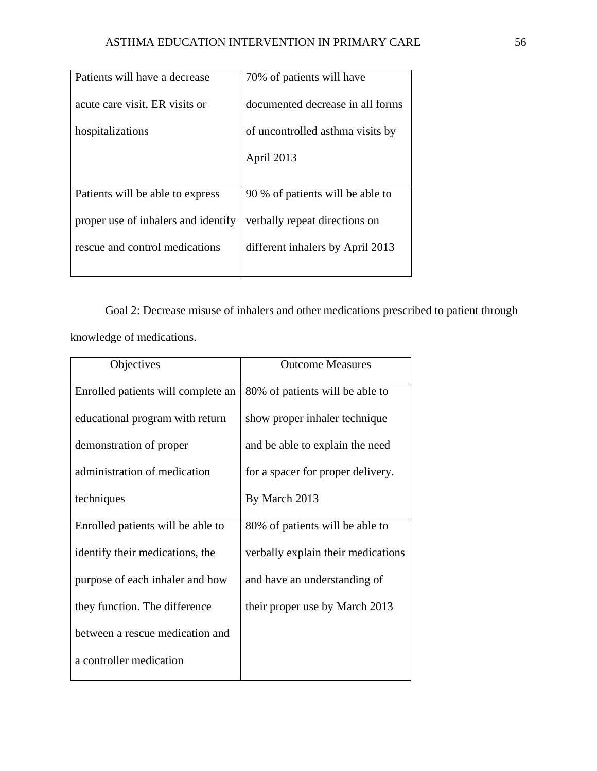| Patients will have a decrease       | 70% of patients will have        |
|-------------------------------------|----------------------------------|
| acute care visit, ER visits or      | documented decrease in all forms |
| hospitalizations                    | of uncontrolled asthma visits by |
|                                     | April 2013                       |
|                                     |                                  |
| Patients will be able to express    | 90 % of patients will be able to |
| proper use of inhalers and identify | verbally repeat directions on    |
| rescue and control medications      | different inhalers by April 2013 |
|                                     |                                  |

Goal 2: Decrease misuse of inhalers and other medications prescribed to patient through knowledge of medications.

| Objectives                         | <b>Outcome Measures</b>            |
|------------------------------------|------------------------------------|
| Enrolled patients will complete an | 80% of patients will be able to    |
| educational program with return    | show proper inhaler technique      |
| demonstration of proper            | and be able to explain the need    |
| administration of medication       | for a spacer for proper delivery.  |
| techniques                         | By March 2013                      |
| Enrolled patients will be able to  | 80% of patients will be able to    |
| identify their medications, the    | verbally explain their medications |
| purpose of each inhaler and how    | and have an understanding of       |
| they function. The difference      | their proper use by March 2013     |
| between a rescue medication and    |                                    |
| a controller medication            |                                    |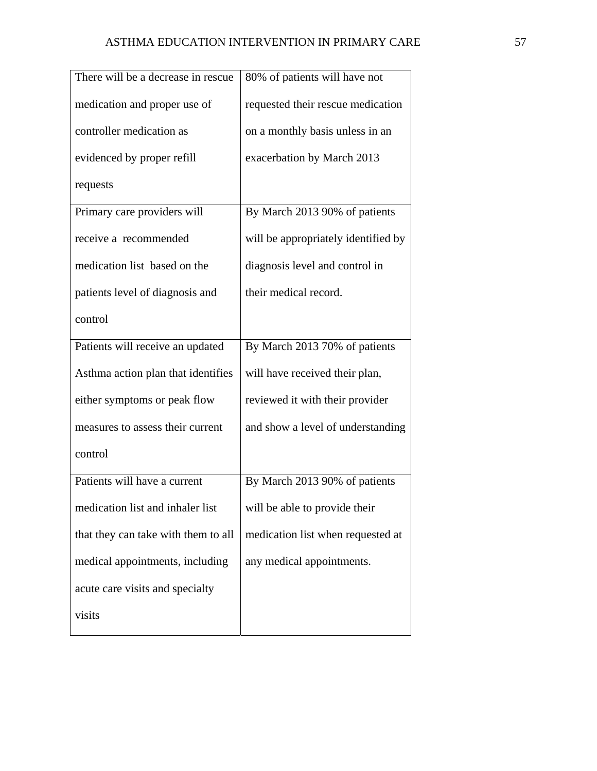| There will be a decrease in rescue  | 80% of patients will have not       |
|-------------------------------------|-------------------------------------|
| medication and proper use of        | requested their rescue medication   |
| controller medication as            | on a monthly basis unless in an     |
| evidenced by proper refill          | exacerbation by March 2013          |
| requests                            |                                     |
| Primary care providers will         | By March 2013 90% of patients       |
| receive a recommended               | will be appropriately identified by |
| medication list based on the        | diagnosis level and control in      |
| patients level of diagnosis and     | their medical record.               |
| control                             |                                     |
| Patients will receive an updated    | By March 2013 70% of patients       |
| Asthma action plan that identifies  | will have received their plan,      |
| either symptoms or peak flow        | reviewed it with their provider     |
| measures to assess their current    | and show a level of understanding   |
| control                             |                                     |
| Patients will have a current        | By March 2013 90% of patients       |
| medication list and inhaler list    | will be able to provide their       |
| that they can take with them to all | medication list when requested at   |
| medical appointments, including     | any medical appointments.           |
| acute care visits and specialty     |                                     |
| visits                              |                                     |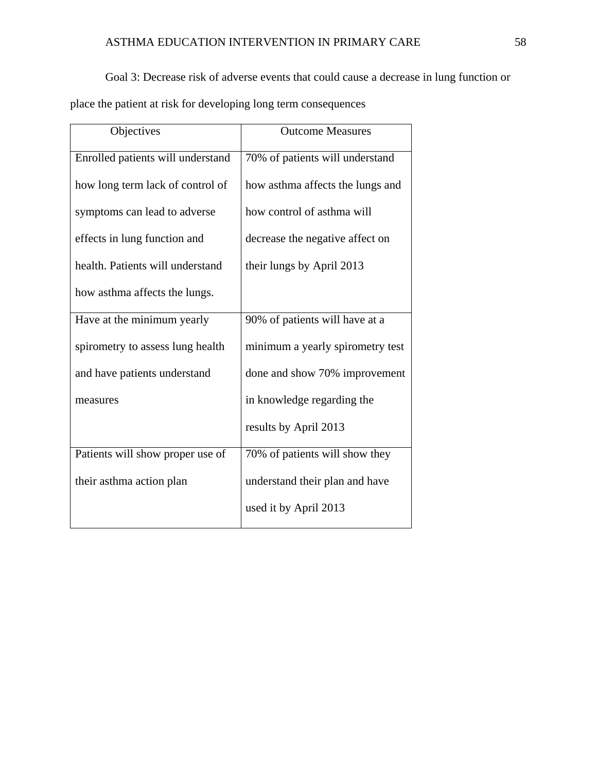### ASTHMA EDUCATION INTERVENTION IN PRIMARY CARE 58

Goal 3: Decrease risk of adverse events that could cause a decrease in lung function or

place the patient at risk for developing long term consequences

| Objectives                        | <b>Outcome Measures</b>          |
|-----------------------------------|----------------------------------|
| Enrolled patients will understand | 70% of patients will understand  |
| how long term lack of control of  | how asthma affects the lungs and |
| symptoms can lead to adverse      | how control of asthma will       |
| effects in lung function and      | decrease the negative affect on  |
| health. Patients will understand  | their lungs by April 2013        |
| how asthma affects the lungs.     |                                  |
| Have at the minimum yearly        | 90% of patients will have at a   |
| spirometry to assess lung health  | minimum a yearly spirometry test |
| and have patients understand      | done and show 70% improvement    |
| measures                          | in knowledge regarding the       |
|                                   | results by April 2013            |
| Patients will show proper use of  | 70% of patients will show they   |
| their asthma action plan          | understand their plan and have   |
|                                   | used it by April 2013            |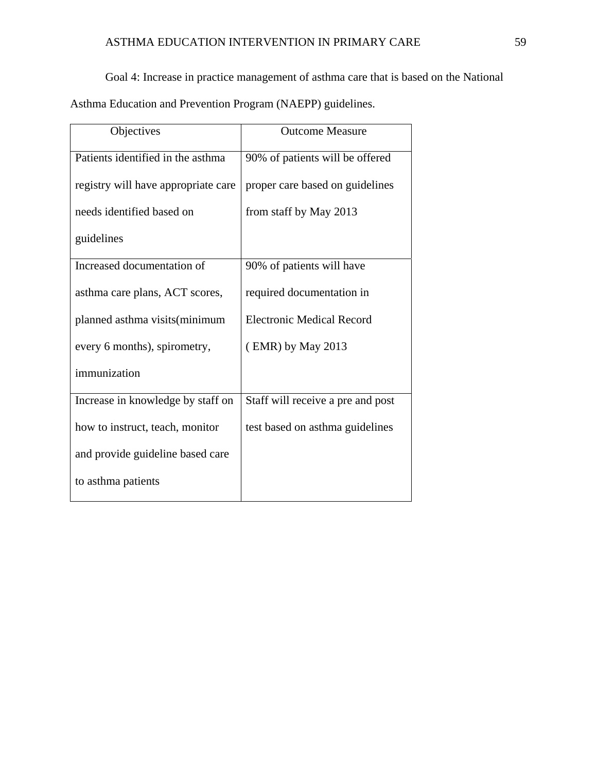## ASTHMA EDUCATION INTERVENTION IN PRIMARY CARE 59

Goal 4: Increase in practice management of asthma care that is based on the National

Asthma Education and Prevention Program (NAEPP) guidelines.

| Objectives                          | <b>Outcome Measure</b>            |
|-------------------------------------|-----------------------------------|
| Patients identified in the asthma   | 90% of patients will be offered   |
| registry will have appropriate care | proper care based on guidelines   |
| needs identified based on           | from staff by May 2013            |
| guidelines                          |                                   |
| Increased documentation of          | 90% of patients will have         |
| asthma care plans, ACT scores,      | required documentation in         |
| planned asthma visits (minimum      | <b>Electronic Medical Record</b>  |
| every 6 months), spirometry,        | $(EMR)$ by May 2013               |
| immunization                        |                                   |
| Increase in knowledge by staff on   | Staff will receive a pre and post |
| how to instruct, teach, monitor     | test based on asthma guidelines   |
| and provide guideline based care    |                                   |
| to asthma patients                  |                                   |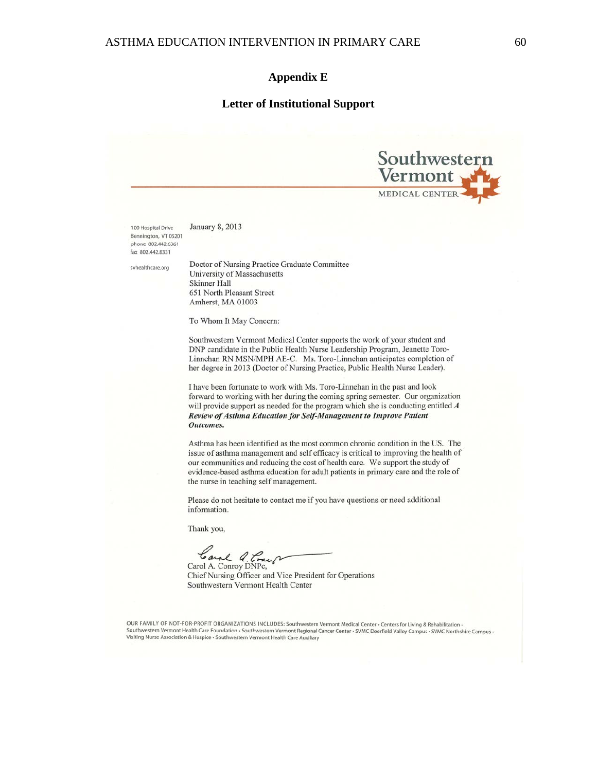#### **Appendix E**

#### **Letter of Institutional Support**



January 8, 2013 100 Hospital Drive Bennington, VT 05201 phone 802.442.6361 fax 802.442.8331

svhealthcare.org

Doctor of Nursing Practice Graduate Committee University of Massachusetts Skinner Hall 651 North Pleasant Street Amherst, MA 01003

To Whom It May Concern:

Southwestern Vermont Medical Center supports the work of your student and DNP candidate in the Public Health Nurse Leadership Program, Jeanette Toro-Linnehan RN MSN/MPH AE-C. Ms. Toro-Linnehan anticipates completion of her degree in 2013 (Doctor of Nursing Practice, Public Health Nurse Leader).

I have been fortunate to work with Ms. Toro-Linnehan in the past and look forward to working with her during the coming spring semester. Our organization will provide support as needed for the program which she is conducting entitled  $A$ Review of Asthma Education for Self-Management to Improve Patient Outcomes.

Asthma has been identified as the most common chronic condition in the US. The issue of asthma management and self efficacy is critical to improving the health of our communities and reducing the cost of health care. We support the study of evidence-based asthma education for adult patients in primary care and the role of the nurse in teaching self management.

Please do not hesitate to contact me if you have questions or need additional information.

Thank you,

Carol Q. Concu

Chief Nursing Officer and Vice President for Operations Southwestern Vermont Health Center

OUR FAMILY OF NOT-FOR-PROFIT ORGANIZATIONS INCLUDES: Southwestern Vermont Medical Center • Centers for Living & Rehabilitation • Southwestern Vermont Health Care Foundation • Southwestern Vermont Regional Cancer Center • SVMC Deerfield Valley Campus • SVMC Northshire Campus • Visiting Nurse Association & Hospice · Southwestern Vermont Health Care Auxiliary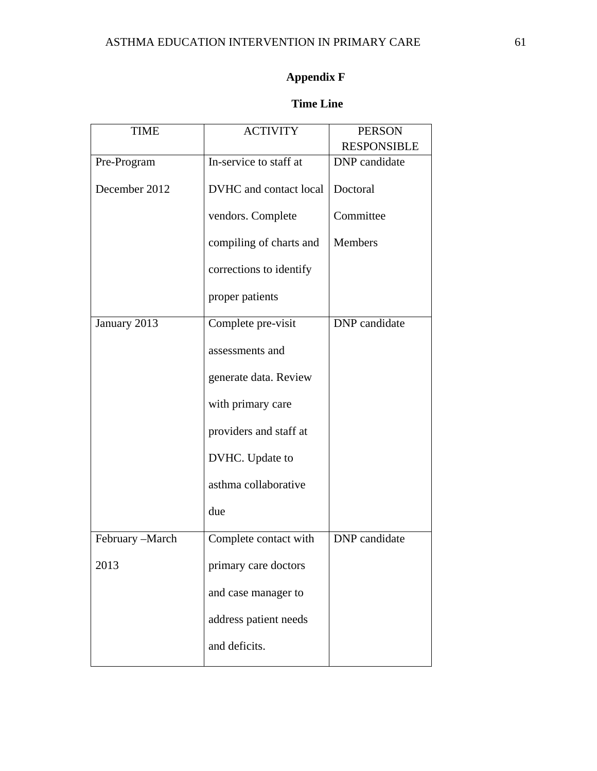# **Appendix F**

### **Time Line**

| <b>TIME</b>     | <b>ACTIVITY</b>         | <b>PERSON</b>      |
|-----------------|-------------------------|--------------------|
|                 |                         | <b>RESPONSIBLE</b> |
| Pre-Program     | In-service to staff at  | DNP candidate      |
| December 2012   | DVHC and contact local  | Doctoral           |
|                 | vendors. Complete       | Committee          |
|                 | compiling of charts and | <b>Members</b>     |
|                 | corrections to identify |                    |
|                 | proper patients         |                    |
| January 2013    | Complete pre-visit      | DNP candidate      |
|                 | assessments and         |                    |
|                 | generate data. Review   |                    |
|                 | with primary care       |                    |
|                 | providers and staff at  |                    |
|                 | DVHC. Update to         |                    |
|                 | asthma collaborative    |                    |
|                 | due                     |                    |
| February -March | Complete contact with   | DNP candidate      |
| 2013            | primary care doctors    |                    |
|                 | and case manager to     |                    |
|                 | address patient needs   |                    |
|                 | and deficits.           |                    |
|                 |                         |                    |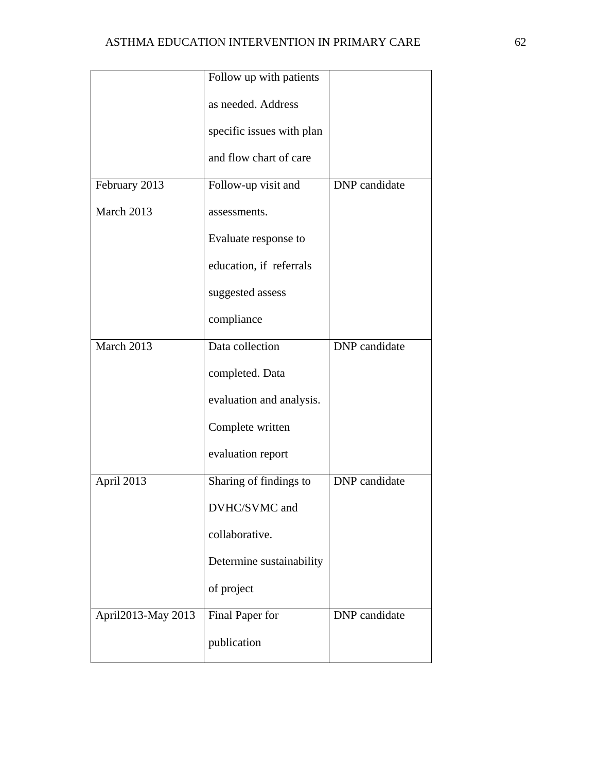|                    | Follow up with patients   |                      |
|--------------------|---------------------------|----------------------|
|                    | as needed. Address        |                      |
|                    | specific issues with plan |                      |
|                    | and flow chart of care    |                      |
| February 2013      | Follow-up visit and       | DNP candidate        |
| March 2013         | assessments.              |                      |
|                    | Evaluate response to      |                      |
|                    | education, if referrals   |                      |
|                    | suggested assess          |                      |
|                    | compliance                |                      |
| March 2013         | Data collection           | DNP candidate        |
|                    | completed. Data           |                      |
|                    | evaluation and analysis.  |                      |
|                    | Complete written          |                      |
|                    | evaluation report         |                      |
| April 2013         | Sharing of findings to    | <b>DNP</b> candidate |
|                    | DVHC/SVMC and             |                      |
|                    | collaborative.            |                      |
|                    | Determine sustainability  |                      |
|                    | of project                |                      |
| April2013-May 2013 | Final Paper for           | DNP candidate        |
|                    | publication               |                      |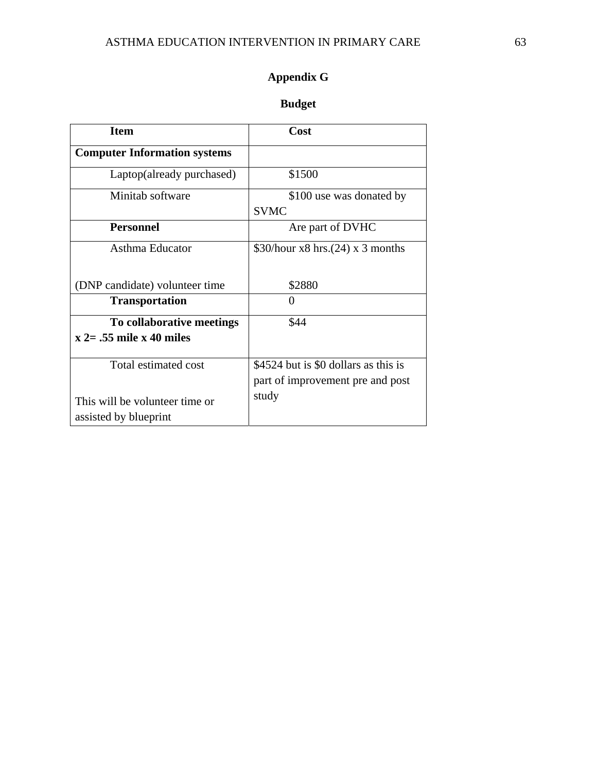# **Appendix G**

## **Budget**

| <b>Item</b>                         | Cost                                 |
|-------------------------------------|--------------------------------------|
| <b>Computer Information systems</b> |                                      |
| Laptop(already purchased)           | \$1500                               |
| Minitab software                    | \$100 use was donated by             |
|                                     | <b>SVMC</b>                          |
| <b>Personnel</b>                    | Are part of DVHC                     |
| Asthma Educator                     | \$30/hour x8 hrs.(24) x 3 months     |
|                                     |                                      |
| (DNP candidate) volunteer time      | \$2880                               |
| <b>Transportation</b>               | $\Omega$                             |
| To collaborative meetings           | \$44                                 |
| $x = 0.55$ mile x 40 miles          |                                      |
| Total estimated cost                | \$4524 but is \$0 dollars as this is |
|                                     |                                      |
|                                     | part of improvement pre and post     |
| This will be volunteer time or      | study                                |
| assisted by blueprint               |                                      |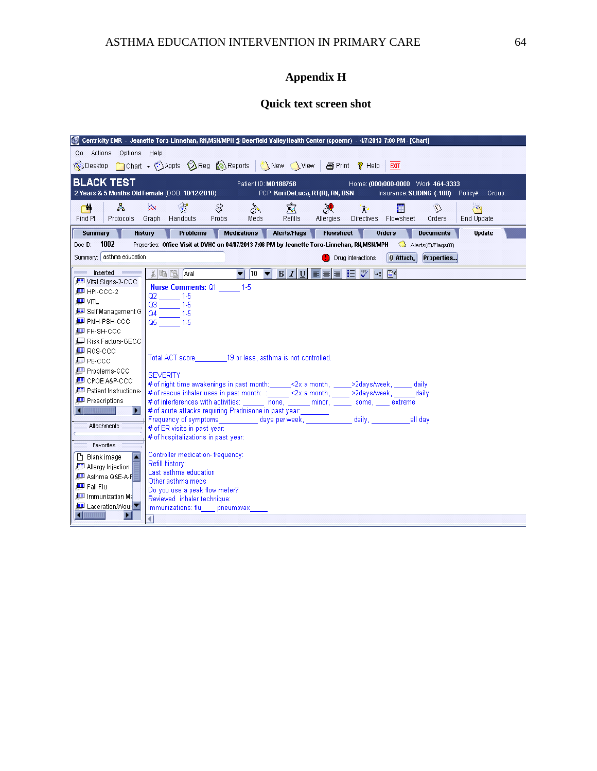# **Appendix H**

## **Quick text screen shot**

|                                         | Centricity EMR - Jeanette Toro-Linnehan, RN,MSNMPH @ Deerfield Valley Health Center (cpoemr) - 4/7/2013 7:08 PM - [Chart]                  |
|-----------------------------------------|--------------------------------------------------------------------------------------------------------------------------------------------|
| Go Actions Options Help                 |                                                                                                                                            |
|                                         | SDesktop Chart . Appts AReg SReports New New   SPrint ? Help<br><b>EXIT</b>                                                                |
|                                         |                                                                                                                                            |
| <b>BLACK TEST</b>                       | Patient ID: M0188758<br>Home: (000)000-0000 Work: 464-3333                                                                                 |
|                                         | 2 Years & 5 Months Old Female (DOB: 10/12/2010)<br>PCP: Kori DeLuca, RT(R), RN, BSN<br>Insurance: SLIDING (-100) Policy#: Group:           |
| 쉏<br><b>City</b>                        | $\otimes$<br>寙<br>¥.<br>没<br>€<br>₩<br>O<br>讍<br>من<br>γ.                                                                                  |
| Find Pt.<br>Protocols                   | Handouts<br>Graph<br>Probs<br>Meds<br>Refills<br>Directives Flowsheet<br>End Update<br><b>Allergies</b><br>Orders                          |
| <b>Summary</b>                          | History<br><b>Problems</b><br><b>Medications</b><br><b>Alerts/Flags</b><br><b>Flowsheet</b><br>Orders<br><b>Documents</b><br><b>Update</b> |
| 1002<br>Doc ID:                         | Properties: Office Visit at DVHC on 04/07/2013 7:06 PM by Jeanette Toro-Linnehan, RN,MSN/MPH Alerts(6)/Flags(0)                            |
| Summary: asthma education               | Properties<br>0 Attach<br>Drug interactions                                                                                                |
| Inserted <b>Communication</b>           | 3 电图 Arial<br>$\blacktriangledown$ 10 $\blacktriangledown$ B $I$<br>扫しく<br>$4:$ $\Box$<br> U <br>目目                                        |
| Uital Signs-2-CCC                       |                                                                                                                                            |
| <b>■ HPI-CCC-2</b>                      | <b>Nurse Comments: Q1</b> 1-5                                                                                                              |
| 国 VITL                                  | $Q2 = 1.5$<br>Q3<br>$1-5$                                                                                                                  |
| 图 Self Management G                     | $\sim 10^{11}$<br>Q4<br>$-1-5$                                                                                                             |
| LESP PMH-PSH-CCC                        | $Q5 = 1.5$                                                                                                                                 |
| 興 FH-SH-CCC                             |                                                                                                                                            |
| LID Risk Factors-GECC                   |                                                                                                                                            |
| <i>L</i> ee Ros-CCC                     |                                                                                                                                            |
| <b>■ PE-CCC</b>                         | Total ACT score 19 or less, asthma is not controlled.                                                                                      |
| 里 Problems-CCC                          | <b>SEVERITY</b>                                                                                                                            |
| 里 CPOE A&P-CCC                          | # of night time awakenings in past month:______<2x a month, _____>2days/week, _____ daily                                                  |
| 里 Patient Instructions-                 | # of rescue inhaler uses in past month: : ______<2x a month, _____>2days/week, ______daily                                                 |
| 图 Prescriptions                         | # of interferences with activities: ______ none, _____ minor, _____ some, ____ extreme                                                     |
| $\blacksquare$<br>$\blacktriangleright$ |                                                                                                                                            |
| Attachments                             |                                                                                                                                            |
|                                         | # of ER visits in past year:                                                                                                               |
| Favorites                               | # of hospitalizations in past year:                                                                                                        |
| ×<br>□ Blank image                      | Controller medication- frequency:                                                                                                          |
| Allergy Injection                       | Refill history:                                                                                                                            |
| 里 Asthma Q&E-A-F                        | Last asthma education                                                                                                                      |
| 画 Fall Flu                              | Other asthma meds                                                                                                                          |
| Immunization Ma                         | Do you use a peak flow meter?                                                                                                              |
| <b>ED</b> Laceration/Wour               | Reviewed inhaler technique:<br>Immunizations: flu pneumovax                                                                                |
| $\blacksquare$<br>п                     |                                                                                                                                            |
|                                         |                                                                                                                                            |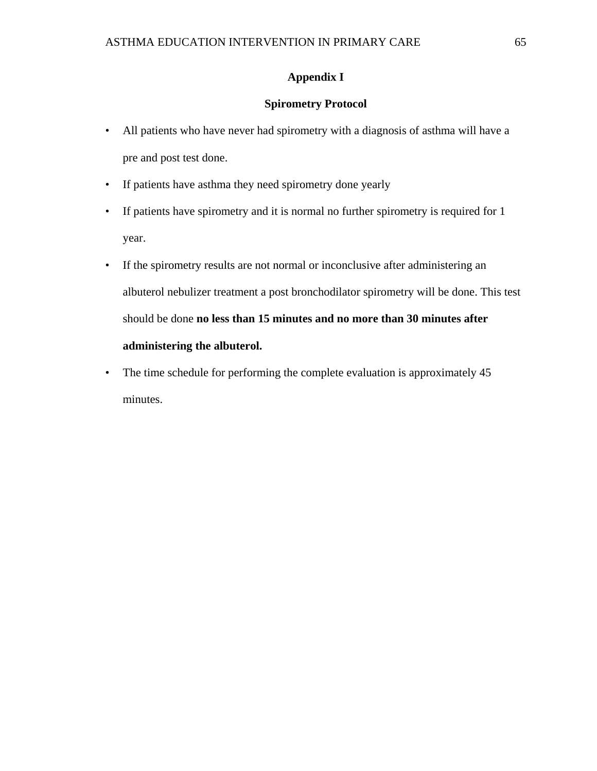### **Appendix I**

### **Spirometry Protocol**

- All patients who have never had spirometry with a diagnosis of asthma will have a pre and post test done.
- If patients have asthma they need spirometry done yearly
- If patients have spirometry and it is normal no further spirometry is required for 1 year.
- If the spirometry results are not normal or inconclusive after administering an albuterol nebulizer treatment a post bronchodilator spirometry will be done. This test should be done **no less than 15 minutes and no more than 30 minutes after administering the albuterol.**
- The time schedule for performing the complete evaluation is approximately 45 minutes.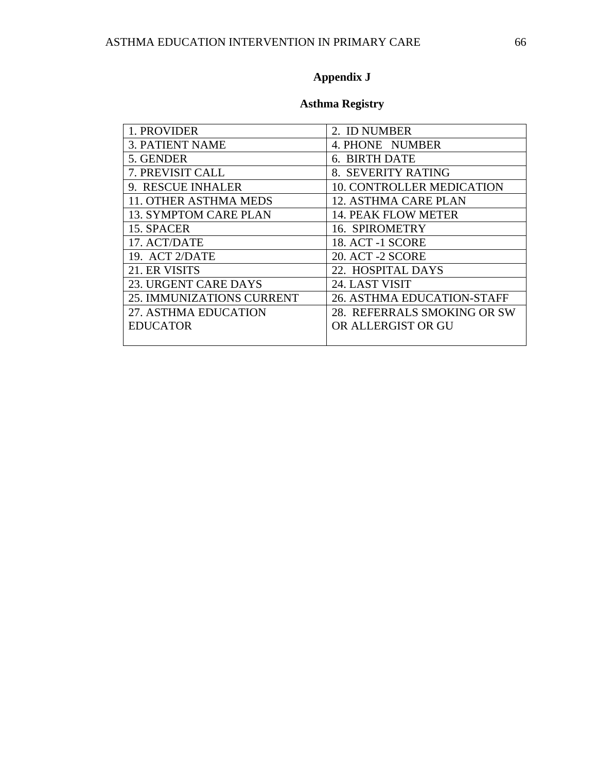# **Appendix J**

## **Asthma Registry**

| 1. PROVIDER                  | 2. ID NUMBER                     |
|------------------------------|----------------------------------|
| <b>3. PATIENT NAME</b>       | 4. PHONE NUMBER                  |
| 5. GENDER                    | 6. BIRTH DATE                    |
| 7. PREVISIT CALL             | 8. SEVERITY RATING               |
| 9. RESCUE INHALER            | <b>10. CONTROLLER MEDICATION</b> |
| 11. OTHER ASTHMA MEDS        | 12. ASTHMA CARE PLAN             |
| <b>13. SYMPTOM CARE PLAN</b> | <b>14. PEAK FLOW METER</b>       |
| 15. SPACER                   | 16. SPIROMETRY                   |
| 17. ACT/DATE                 | <b>18. ACT -1 SCORE</b>          |
| 19. ACT 2/DATE               | 20. ACT -2 SCORE                 |
| 21. ER VISITS                | 22. HOSPITAL DAYS                |
| <b>23. URGENT CARE DAYS</b>  | 24. LAST VISIT                   |
| 25. IMMUNIZATIONS CURRENT    | 26. ASTHMA EDUCATION-STAFF       |
| 27. ASTHMA EDUCATION         | 28. REFERRALS SMOKING OR SW      |
| <b>EDUCATOR</b>              | OR ALLERGIST OR GU               |
|                              |                                  |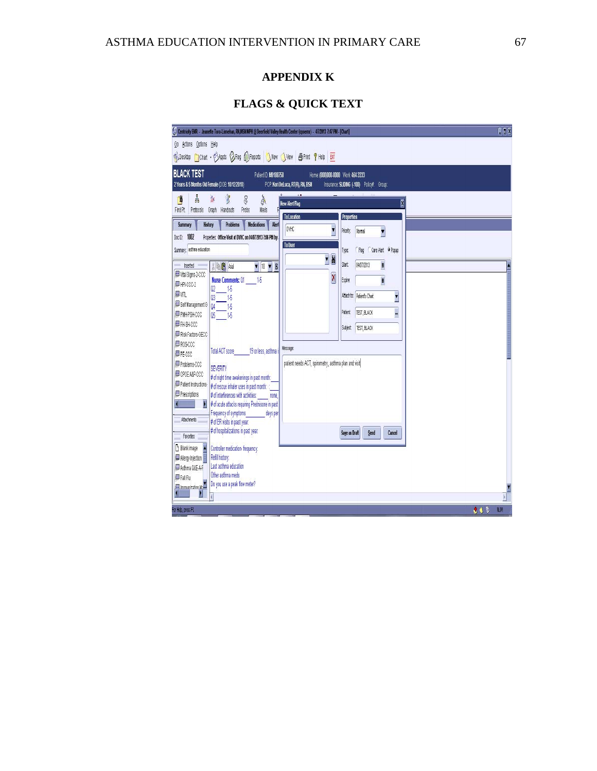### **APPENDIX K**

# **FLAGS & QUICK TEXT**

| C <sub>0</sub><br>Centricity EMR - Jeanette Toro-Linnehan, RN,MSN MPH @ Deerfield Valley Health Center (cpoemr) - 4/7/2013 7:47 PM - [Chart] |                                                                               |            |  |  |  |  |  |  |  |
|----------------------------------------------------------------------------------------------------------------------------------------------|-------------------------------------------------------------------------------|------------|--|--|--|--|--|--|--|
| Actions Options Help<br>60 <sup>°</sup>                                                                                                      |                                                                               |            |  |  |  |  |  |  |  |
| SDesktop Cloan + CAppts & Reg & Reports New Yvew Brint ? Help BIT                                                                            |                                                                               |            |  |  |  |  |  |  |  |
| <b>BLACK TEST</b><br>Patient ID: M0188758                                                                                                    | Home: (000)000-0000 Work: 464-3333                                            |            |  |  |  |  |  |  |  |
| 2 Years & 5 Months Old Female (DOB: 10/12/2010)                                                                                              | PCP: Kori DeLuca, RT(R), RN, BSN<br>Insurance: SLIDING (-100) Policy#: Group: |            |  |  |  |  |  |  |  |
| å<br>ł<br>$\lambda$<br>₿<br>E<br>à                                                                                                           | Ø<br><b>New Alert Flag</b>                                                    |            |  |  |  |  |  |  |  |
| Find Pt.<br>Protocols Graph<br>Handouts<br>Probs<br>Meds                                                                                     |                                                                               |            |  |  |  |  |  |  |  |
| <b>Summary</b><br><b>Problems</b><br><b>Medications</b><br>Aler<br>History                                                                   | To Location<br><b>Properties</b>                                              |            |  |  |  |  |  |  |  |
| 1002<br>Properties: Office Visit at DVHC on 04/07/2013 7:06 PM by<br>Doc D:                                                                  | <b>DVHC</b><br>Normal<br>Priority:<br>v                                       |            |  |  |  |  |  |  |  |
| Summary, asthma education                                                                                                                    | To User<br>Care Alert O Popup<br>Flag<br>Type:                                |            |  |  |  |  |  |  |  |
|                                                                                                                                              | H<br>$\blacksquare$                                                           |            |  |  |  |  |  |  |  |
| 人 中国 Aid<br>Inserted<br>$\mathbf{v}$ 10 $\mathbf{v}$ B<br>Wial Signs-2-CCC                                                                   | B<br>Start:<br>04/07/2013                                                     |            |  |  |  |  |  |  |  |
| <b>Nurse Comments: 01</b><br>15<br>圖HPI-CCC-2                                                                                                | $\overline{\mathsf{x}}$<br>B<br>Expire                                        |            |  |  |  |  |  |  |  |
| 15<br>02<br><b>国</b> 加<br>15<br>Q <sub>3</sub>                                                                                               | I<br>Attach to: Patient's Chart                                               |            |  |  |  |  |  |  |  |
| Self Management G<br>Q <sub>4</sub><br>15                                                                                                    |                                                                               |            |  |  |  |  |  |  |  |
| 图 PMH-PSH-CCC<br>05<br>15                                                                                                                    | TEST, BLACK<br><br>Patient:                                                   |            |  |  |  |  |  |  |  |
| <b>ID</b> FH-SH-CCC<br>Risk Factors-GECC                                                                                                     | TEST, BLACK<br><b>Subject</b>                                                 |            |  |  |  |  |  |  |  |
| H ROS-CCC                                                                                                                                    |                                                                               |            |  |  |  |  |  |  |  |
| <b>Total ACT score</b><br>19 or less, asthma i<br><b>ID</b> PE-CCC                                                                           | Message:                                                                      |            |  |  |  |  |  |  |  |
| 里 Problems-CCC<br><b>SEVERITY</b>                                                                                                            | patient needs ACT, spirometry, asthma plan and visit                          |            |  |  |  |  |  |  |  |
| UP OP OE A&P-CCC<br># of night time awakenings in past month:                                                                                |                                                                               |            |  |  |  |  |  |  |  |
| Patient Instructions-<br># of rescue inhaler uses in past month: :                                                                           |                                                                               |            |  |  |  |  |  |  |  |
| Prescriptions<br># of interferences with activities:<br>none.<br># of acute attacks requiring Prednisone in past<br>$\blacksquare$           |                                                                               |            |  |  |  |  |  |  |  |
| Frequency of symptoms<br>days per                                                                                                            |                                                                               |            |  |  |  |  |  |  |  |
| Attachments<br># of ER visits in past year.                                                                                                  |                                                                               |            |  |  |  |  |  |  |  |
| # of hospitalizations in past year:<br>Favorites                                                                                             | Save as Draft<br>Send<br>Cancel                                               |            |  |  |  |  |  |  |  |
| Blankimage<br>Controller medication-frequency:                                                                                               |                                                                               |            |  |  |  |  |  |  |  |
| Refill history:<br>Allergy Injection                                                                                                         |                                                                               |            |  |  |  |  |  |  |  |
| Last asthma education<br>图 Asthma Q&E-A-F<br>Other asthma meds<br><b>ID Fall Flu</b>                                                         |                                                                               |            |  |  |  |  |  |  |  |
| Do you use a peak flow meter?<br>El Immunization No                                                                                          |                                                                               |            |  |  |  |  |  |  |  |
| D<br><b>dinimi</b><br>1                                                                                                                      |                                                                               | И          |  |  |  |  |  |  |  |
| For Help, press F1                                                                                                                           | 0.95                                                                          | <b>NUM</b> |  |  |  |  |  |  |  |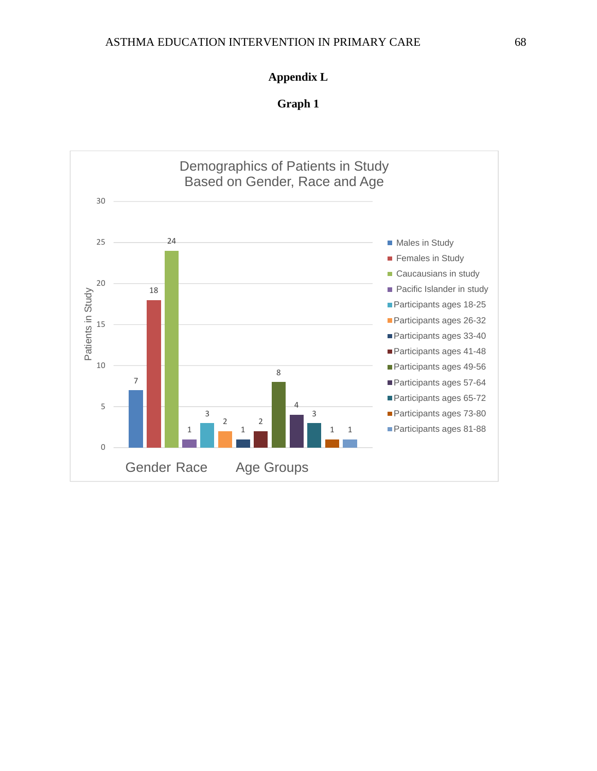### **Appendix L**

**Graph 1** 

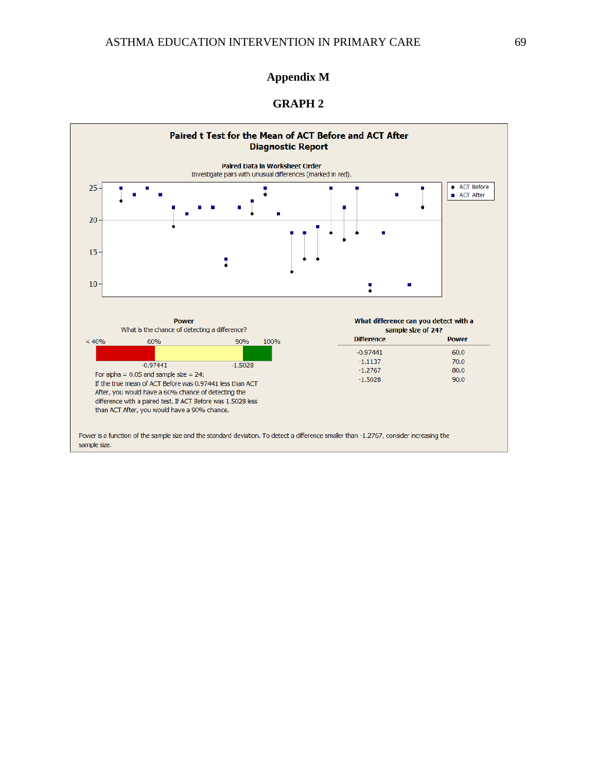### **Appendix M**

### **GRAPH 2**

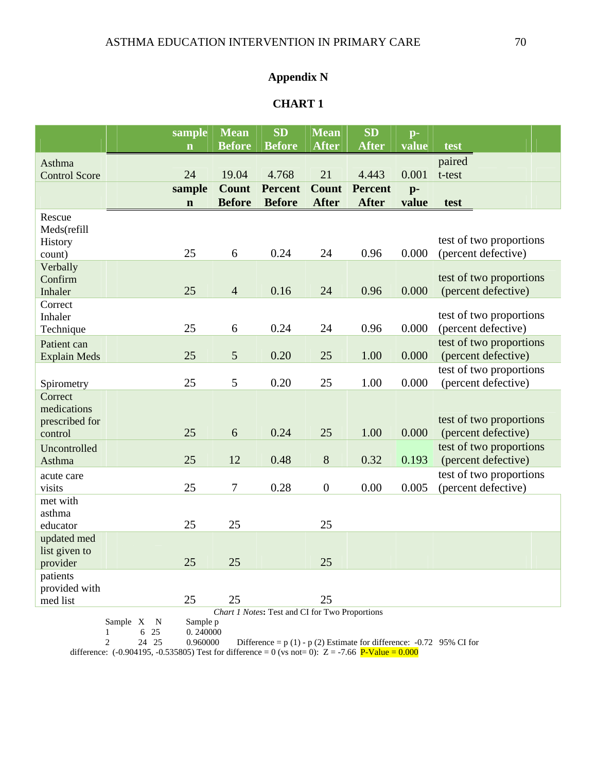### **Appendix N**

### **CHART 1**

|                                                       | sample      | <b>Mean</b>      | <b>SD</b>      | <b>Mean</b>      | <b>SD</b>      | $p-$  |                                                |  |  |
|-------------------------------------------------------|-------------|------------------|----------------|------------------|----------------|-------|------------------------------------------------|--|--|
|                                                       | $\mathbf n$ | <b>Before</b>    | <b>Before</b>  | <b>After</b>     | <b>After</b>   | value | test                                           |  |  |
| Asthma                                                |             |                  |                |                  |                |       | paired                                         |  |  |
| <b>Control Score</b>                                  | 24          | 19.04            | 4.768          | 21               | 4.443          | 0.001 | t-test                                         |  |  |
|                                                       | sample      | <b>Count</b>     | <b>Percent</b> | <b>Count</b>     | <b>Percent</b> | $p-$  |                                                |  |  |
|                                                       | $\mathbf n$ | <b>Before</b>    | <b>Before</b>  | <b>After</b>     | <b>After</b>   | value | test                                           |  |  |
| Rescue                                                |             |                  |                |                  |                |       |                                                |  |  |
| Meds(refill                                           |             |                  |                |                  |                |       |                                                |  |  |
| History                                               |             |                  |                |                  |                |       | test of two proportions                        |  |  |
| count)                                                | 25          | 6                | 0.24           | 24               | 0.96           | 0.000 | (percent defective)                            |  |  |
| Verbally<br>Confirm                                   |             |                  |                |                  |                |       | test of two proportions                        |  |  |
| Inhaler                                               | 25          | $\overline{4}$   | 0.16           | 24               | 0.96           | 0.000 | (percent defective)                            |  |  |
| Correct                                               |             |                  |                |                  |                |       |                                                |  |  |
| Inhaler                                               |             |                  |                |                  |                |       | test of two proportions                        |  |  |
| Technique                                             | 25          | 6                | 0.24           | 24               | 0.96           | 0.000 | (percent defective)                            |  |  |
| Patient can                                           |             |                  |                |                  |                |       | test of two proportions                        |  |  |
| <b>Explain Meds</b>                                   | 25          | 5                | 0.20           | 25               | 1.00           | 0.000 | (percent defective)                            |  |  |
|                                                       |             |                  |                |                  |                |       | test of two proportions                        |  |  |
| Spirometry                                            | 25          | 5                | 0.20           | 25               | 1.00           | 0.000 | (percent defective)                            |  |  |
| Correct                                               |             |                  |                |                  |                |       |                                                |  |  |
| medications                                           |             |                  |                |                  |                |       |                                                |  |  |
| prescribed for<br>control                             | 25          | 6                | 0.24           | 25               | 1.00           | 0.000 | test of two proportions<br>(percent defective) |  |  |
| Uncontrolled                                          |             |                  |                |                  |                |       | test of two proportions                        |  |  |
| Asthma                                                | 25          | 12               | 0.48           | 8                | 0.32           | 0.193 | (percent defective)                            |  |  |
| acute care                                            |             |                  |                |                  |                |       | test of two proportions                        |  |  |
| visits                                                | 25          | $\boldsymbol{7}$ | 0.28           | $\boldsymbol{0}$ | 0.00           | 0.005 | (percent defective)                            |  |  |
| met with                                              |             |                  |                |                  |                |       |                                                |  |  |
| asthma                                                |             |                  |                |                  |                |       |                                                |  |  |
| educator                                              | 25          | 25               |                | 25               |                |       |                                                |  |  |
| updated med                                           |             |                  |                |                  |                |       |                                                |  |  |
| list given to                                         |             |                  |                |                  |                |       |                                                |  |  |
| provider                                              | 25          | 25               |                | 25               |                |       |                                                |  |  |
| patients<br>provided with                             |             |                  |                |                  |                |       |                                                |  |  |
| med list                                              | 25          | 25               |                | 25               |                |       |                                                |  |  |
| <b>Chart 1 Notes: Test and CI for Two Proportions</b> |             |                  |                |                  |                |       |                                                |  |  |

Sample X  $N$ <br>1 6 25

Sample p<br>0. 240000

2 24 25 0.960000 Difference = p (1) - p (2) Estimate for difference: -0.72 95% CI for difference:  $(-0.904195, -0.535805)$  Test for difference = 0 (vs not= 0):  $Z = -7.66$  P-Value = 0.000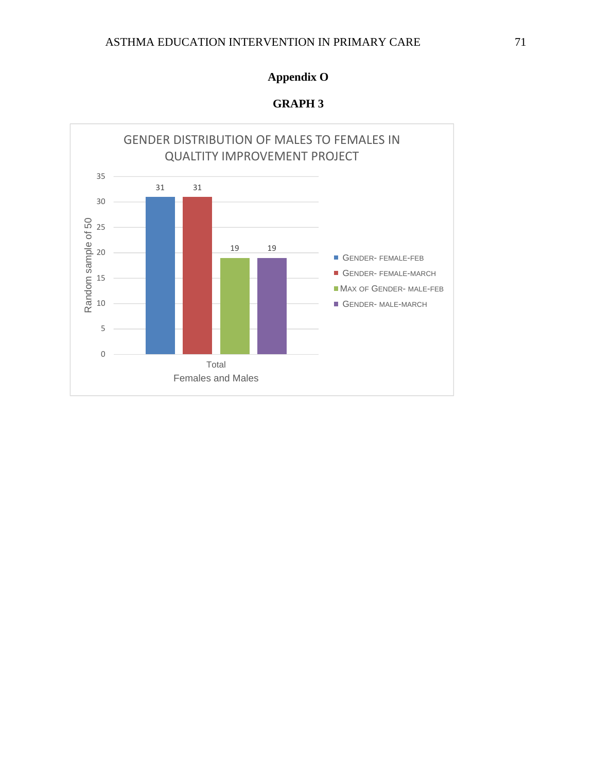### ASTHMA EDUCATION INTERVENTION IN PRIMARY CARE 71

## **Appendix O**

**GRAPH 3** 

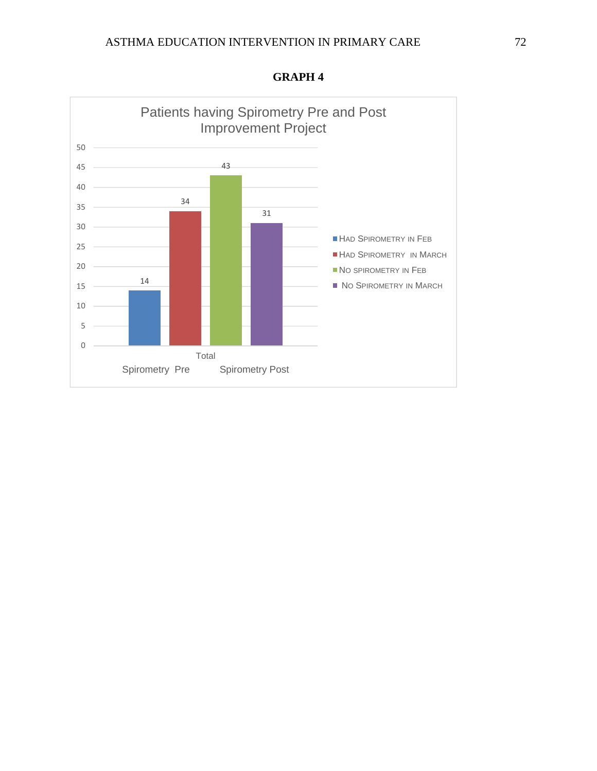

**GRAPH 4**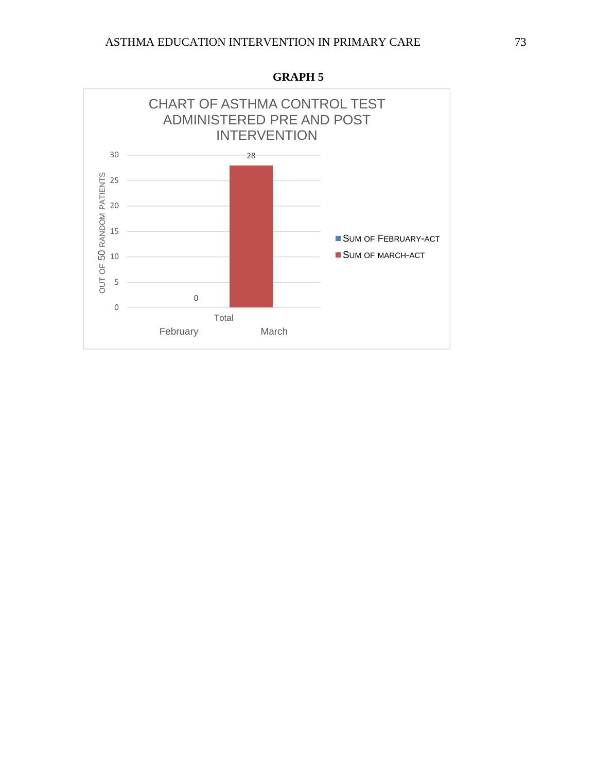

**GRAPH 5**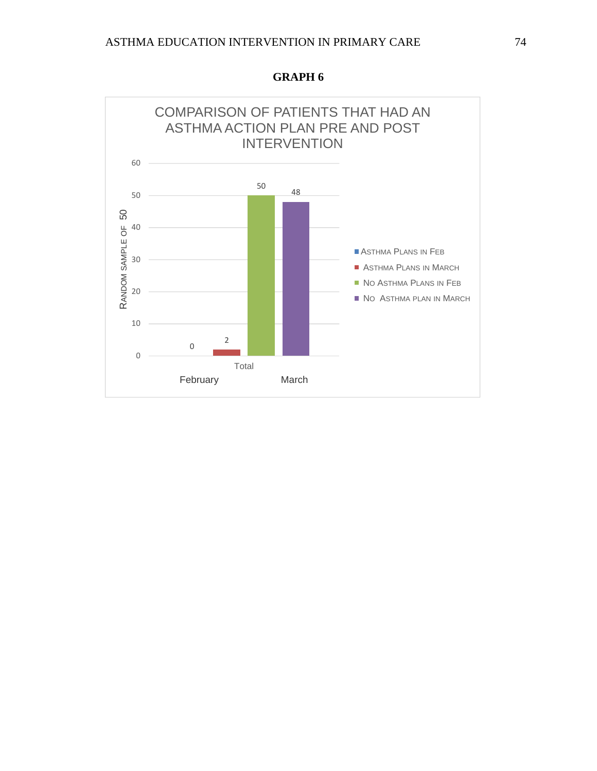

**GRAPH 6**